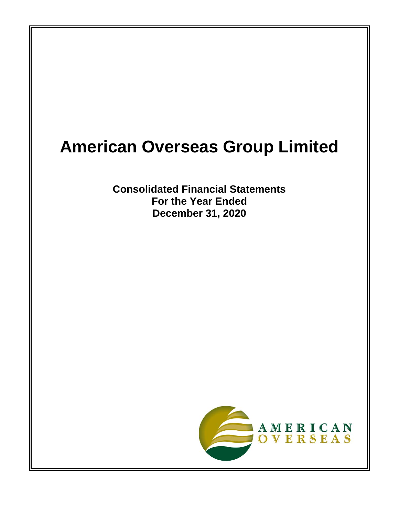# **American Overseas Group Limited**

**Consolidated Financial Statements For the Year Ended December 31, 2020**

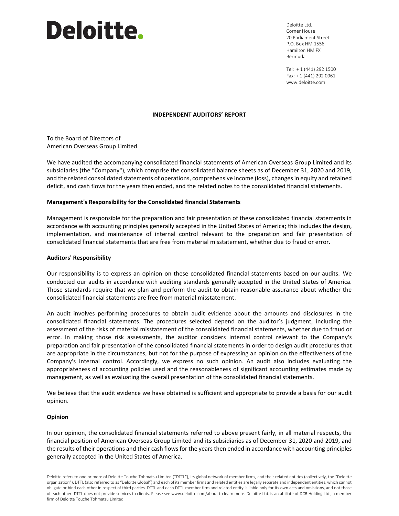# Deloitte.

Deloitte Ltd. Corner House 20 Parliament Street P.O. Box HM 1556 Hamilton HM FX Bermuda

Tel: + 1 (441) 292 1500 Fax: + 1 (441) 292 0961 www.deloitte.com

#### **INDEPENDENT AUDITORS' REPORT**

To the Board of Directors of American Overseas Group Limited

We have audited the accompanying consolidated financial statements of American Overseas Group Limited and its subsidiaries (the "Company"), which comprise the consolidated balance sheets as of December 31, 2020 and 2019, and the related consolidated statements of operations, comprehensive income (loss), changes in equity and retained deficit, and cash flows for the years then ended, and the related notes to the consolidated financial statements.

#### **Management's Responsibility for the Consolidated financial Statements**

Management is responsible for the preparation and fair presentation of these consolidated financial statements in accordance with accounting principles generally accepted in the United States of America; this includes the design, implementation, and maintenance of internal control relevant to the preparation and fair presentation of consolidated financial statements that are free from material misstatement, whether due to fraud or error.

#### **Auditors' Responsibility**

Our responsibility is to express an opinion on these consolidated financial statements based on our audits. We conducted our audits in accordance with auditing standards generally accepted in the United States of America. Those standards require that we plan and perform the audit to obtain reasonable assurance about whether the consolidated financial statements are free from material misstatement.

An audit involves performing procedures to obtain audit evidence about the amounts and disclosures in the consolidated financial statements. The procedures selected depend on the auditor's judgment, including the assessment of the risks of material misstatement of the consolidated financial statements, whether due to fraud or error. In making those risk assessments, the auditor considers internal control relevant to the Company's preparation and fair presentation of the consolidated financial statements in order to design audit procedures that are appropriate in the circumstances, but not for the purpose of expressing an opinion on the effectiveness of the Company's internal control. Accordingly, we express no such opinion. An audit also includes evaluating the appropriateness of accounting policies used and the reasonableness of significant accounting estimates made by management, as well as evaluating the overall presentation of the consolidated financial statements.

We believe that the audit evidence we have obtained is sufficient and appropriate to provide a basis for our audit opinion.

#### **Opinion**

In our opinion, the consolidated financial statements referred to above present fairly, in all material respects, the financial position of American Overseas Group Limited and its subsidiaries as of December 31, 2020 and 2019, and the results of their operations and their cash flows for the years then ended in accordance with accounting principles generally accepted in the United States of America.

Deloitte refers to one or more of Deloitte Touche Tohmatsu Limited ("DTTL"), its global network of member firms, and their related entities (collectively, the "Deloitte organization"). DTTL (also referred to as "Deloitte Global") and each of its member firms and related entities are legally separate and independent entities, which cannot obligate or bind each other in respect of third parties. DTTL and each DTTL member firm and related entity is liable only for its own acts and omissions, and not those of each other. DTTL does not provide services to clients. Please see www.deloitte.com/about to learn more. Deloitte Ltd. is an affiliate of DCB Holding Ltd., a member firm of Deloitte Touche Tohmatsu Limited.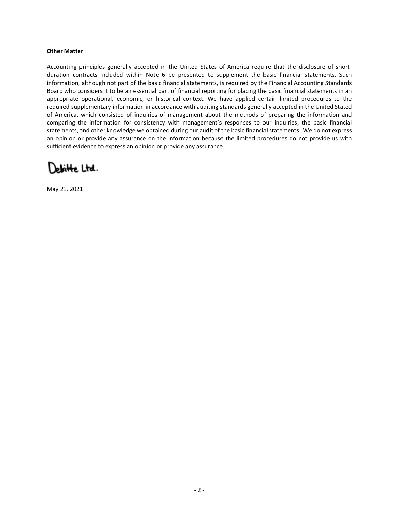#### **Other Matter**

Accounting principles generally accepted in the United States of America require that the disclosure of shortduration contracts included within Note 6 be presented to supplement the basic financial statements. Such information, although not part of the basic financial statements, is required by the Financial Accounting Standards Board who considers it to be an essential part of financial reporting for placing the basic financial statements in an appropriate operational, economic, or historical context. We have applied certain limited procedures to the required supplementary information in accordance with auditing standards generally accepted in the United Stated of America, which consisted of inquiries of management about the methods of preparing the information and comparing the information for consistency with management's responses to our inquiries, the basic financial statements, and other knowledge we obtained during our audit of the basic financial statements. We do not express an opinion or provide any assurance on the information because the limited procedures do not provide us with sufficient evidence to express an opinion or provide any assurance.

Jeloitte Ltd.

May 21, 2021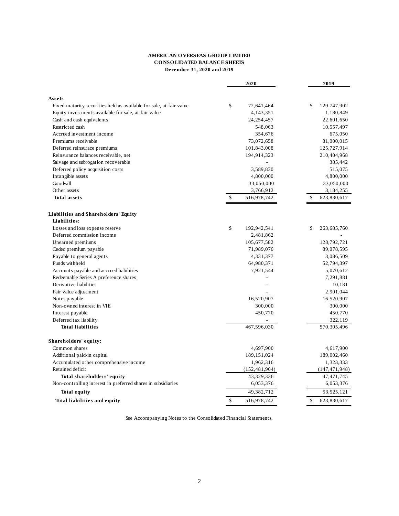#### **AMERICAN O VERSEAS GRO UP LIMITED CO NSO LIDATED BALANCE SHEETS December 31, 2020 and 2019**

|                                                                               | 2020              |    | 2019            |
|-------------------------------------------------------------------------------|-------------------|----|-----------------|
|                                                                               |                   |    |                 |
| Assets<br>Fixed-maturity securities held as available for sale, at fair value | \$<br>72,641,464  | \$ | 129,747,902     |
| Equity investments available for sale, at fair value                          | 4,143,351         |    | 1,180,849       |
| Cash and cash equivalents                                                     | 24,254,457        |    | 22,601,650      |
| Restricted cash                                                               | 548,063           |    | 10,557,497      |
| Accrued investment income                                                     | 354,676           |    | 675,050         |
| Premiums receivable                                                           | 73,072,658        |    | 81,000,015      |
| Deferred reinsurace premiums                                                  | 101,843,008       |    | 125,727,914     |
| Reinsurance balances receivable, net                                          | 194,914,323       |    | 210,404,968     |
| Salvage and subrogation recoverable                                           |                   |    | 385,442         |
| Deferred policy acquisition costs                                             | 3,589,830         |    | 515,075         |
| Intangible assets                                                             | 4,800,000         |    | 4,800,000       |
| Goodwill                                                                      | 33,050,000        |    | 33,050,000      |
| Other assets                                                                  | 3,766,912         |    | 3,184,255       |
| <b>Total assets</b>                                                           | \$<br>516,978,742 | \$ | 623,830,617     |
|                                                                               |                   |    |                 |
| Liabilities and Shareholders' Equity                                          |                   |    |                 |
| Liabilities:                                                                  |                   |    |                 |
| Losses and loss expense reserve                                               | \$<br>192,942,541 | S  | 263,685,760     |
| Deferred commission income                                                    | 2,481,862         |    |                 |
| Unearned premiums                                                             | 105,677,582       |    | 128,792,721     |
| Ceded premium payable                                                         | 71,989,076        |    | 89,078,595      |
| Payable to general agents                                                     | 4,331,377         |    | 3,086,509       |
| Funds withheld                                                                | 64,980,371        |    | 52,794,397      |
| Accounts payable and accrued liabilities                                      | 7,921,544         |    | 5,070,612       |
| Redeemable Series A preference shares                                         |                   |    | 7,291,881       |
| Derivative liabilities                                                        |                   |    | 10,181          |
| Fair value adjustment                                                         |                   |    | 2,901,044       |
| Notes payable                                                                 | 16,520,907        |    | 16,520,907      |
| Non-owned interest in VIE                                                     | 300,000           |    | 300,000         |
| Interest payable                                                              | 450,770           |    | 450,770         |
| Deferred tax liability                                                        |                   |    | 322,119         |
| <b>Total liabilities</b>                                                      | 467,596,030       |    | 570,305,496     |
| Shareholders' equity:                                                         |                   |    |                 |
| Common shares                                                                 | 4,697,900         |    | 4,617,900       |
| Additional paid-in capital                                                    | 189, 151, 024     |    | 189,002,460     |
| Accumulated other comprehensive income                                        | 1,962,316         |    | 1,323,333       |
| Retained deficit                                                              | (152, 481, 904)   |    | (147, 471, 948) |
| Total shareholders' equity                                                    | 43,329,336        |    | 47, 471, 745    |
| Non-controlling interest in preferred shares in subsidiaries                  | 6,053,376         |    | 6,053,376       |
| <b>Total equity</b>                                                           | 49,382,712        |    | 53, 525, 121    |
| <b>Total liabilities and equity</b>                                           | \$<br>516,978,742 | \$ | 623,830,617     |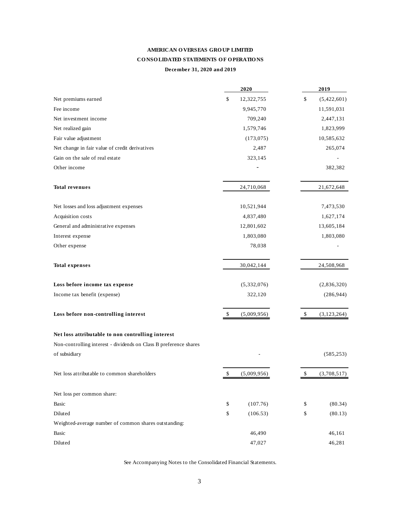# **AMERICAN O VERSEAS GRO UP LIMITED CO NSO LIDATED STATEMENTS O F O PERATIO NS December 31, 2020 and 2019**

|                                                                   | 2020              | 2019                |
|-------------------------------------------------------------------|-------------------|---------------------|
| Net premiums earned                                               | \$<br>12,322,755  | \$<br>(5,422,601)   |
| Fee income                                                        | 9,945,770         | 11,591,031          |
| Net investment income                                             | 709,240           | 2,447,131           |
| Net realized gain                                                 | 1,579,746         | 1,823,999           |
| Fair value adjustment                                             | (173, 075)        | 10,585,632          |
| Net change in fair value of credit derivatives                    | 2,487             | 265,074             |
| Gain on the sale of real estate                                   | 323,145           |                     |
| Other income                                                      |                   | 382,382             |
| <b>Total revenues</b>                                             | 24,710,068        | 21,672,648          |
| Net losses and loss adjustment expenses                           | 10,521,944        | 7,473,530           |
| Acquisition costs                                                 | 4,837,480         | 1,627,174           |
| General and administrative expenses                               | 12,801,602        | 13,605,184          |
| Interest expense                                                  | 1,803,080         | 1,803,080           |
| Other expense                                                     | 78,038            |                     |
| <b>Total expenses</b>                                             | 30,042,144        | 24,508,968          |
| Loss before income tax expense                                    | (5,332,076)       | (2,836,320)         |
| Income tax benefit (expense)                                      | 322,120           | (286, 944)          |
| Loss before non-controlling interest                              | \$<br>(5,009,956) | \$<br>(3, 123, 264) |
| Net loss attributable to non controlling interest                 |                   |                     |
| Non-controlling interest - dividends on Class B preference shares |                   |                     |
| of subsidiary                                                     |                   | (585, 253)          |
| Net loss attributable to common shareholders                      | \$<br>(5,009,956) | \$<br>(3,708,517)   |
| Net loss per common share:                                        |                   |                     |
| Basic                                                             | \$<br>(107.76)    | (80.34)<br>\$       |
| Diluted                                                           | \$<br>(106.53)    | \$<br>(80.13)       |
| Weighted-average number of common shares outstanding:             |                   |                     |
| Basic                                                             | 46,490            | 46,161              |
| Diluted                                                           | 47,027            | 46,281              |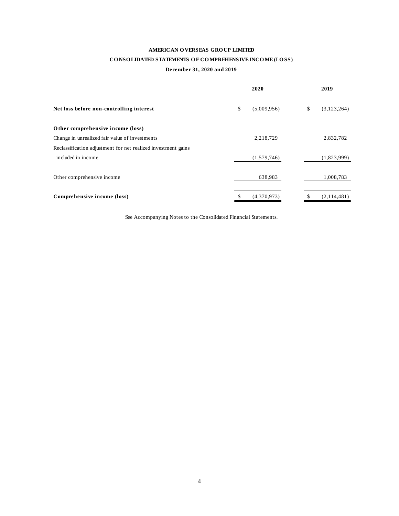# **AMERICAN O VERSEAS GRO UP LIMITED**

# CONSOLIDATED STATEMENTS OF COMPREHENSIVE INCOME (LOSS)

#### **December 31, 2020 and 2019**

|                                                               | 2020              | 2019              |
|---------------------------------------------------------------|-------------------|-------------------|
| Net loss before non-controlling interest                      | \$<br>(5,009,956) | \$<br>(3,123,264) |
| Other comprehensive income (loss)                             |                   |                   |
| Change in unrealized fair value of investments                | 2,218,729         | 2,832,782         |
| Reclassification adjustment for net realized investment gains |                   |                   |
| included in income                                            | (1,579,746)       | (1,823,999)       |
| Other comprehensive income                                    | 638,983           | 1,008,783         |
| Comprehensive income (loss)                                   | \$<br>(4.370.973) | \$<br>(2,114,481) |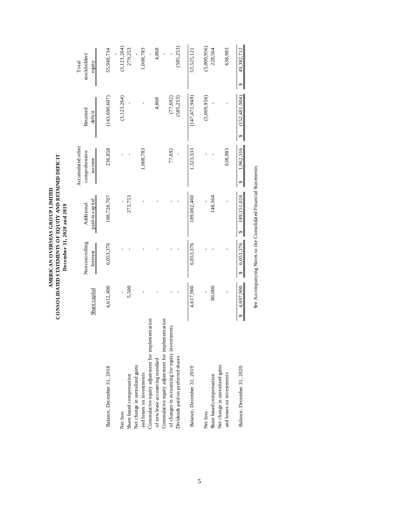|                                                                                                                                           |                |                            |                                                                 | Accumulated other       |                         | Total                    |
|-------------------------------------------------------------------------------------------------------------------------------------------|----------------|----------------------------|-----------------------------------------------------------------|-------------------------|-------------------------|--------------------------|
|                                                                                                                                           | Share capital  | Noncontrolling<br>Interest | paid-in-capital<br>Additional                                   | comprehensive<br>income | Retained<br>deficit     | stockholders'<br>equity  |
| Balance, December 31, 2018                                                                                                                | 4,612,400      | 6,053,376                  | 188,728,707                                                     | 236,858                 | (143, 690, 607)         | 55,940,734               |
| Share based compensation<br>Net loss                                                                                                      | 5,500          |                            | 273,753                                                         |                         | (3, 123, 264)           | (3, 123, 264)<br>279,253 |
| Net change in unrealized gains<br>and losses on investments                                                                               |                |                            |                                                                 | 1,008,783               |                         | 1,008,783                |
| Commulative equity adjustment for implementation<br>of new lease accounting standard                                                      |                |                            |                                                                 |                         | 4,868                   | 4,868                    |
| Commulative equity adjustment for implementation<br>of changes in accounting for equity investments<br>Dividends paid on preferred shares |                |                            |                                                                 | 77,692                  | (585, 253)<br>(77, 692) | (585, 253)               |
| Balance, December 31, 2019                                                                                                                | 4,617,900      | 6,053,376                  | 189,002,460                                                     | 1,323,333               | (147, 471, 948)         | 53,525,121               |
| Share based compensation<br>Net loss                                                                                                      | 80,000         |                            | 148,564                                                         |                         | (5,009,956)             | (5,009,956)<br>228,564   |
| Net change in unrealized gains<br>and losses on investments                                                                               |                |                            |                                                                 | 638,983                 |                         | 638,983                  |
| Balance, December 31, 2020                                                                                                                | 4,697,900<br>↮ | 6,053,376                  | 189, 151, 024<br>↮                                              | 1.962,316               | (152.481.904)           | 49,382,712<br>S          |
|                                                                                                                                           |                |                            | See Accompanying Notes to the Consolidated Financial Statements |                         |                         |                          |

AMERICAN OVERSEAS GROUP LIMITED<br>CONSOLIDATED STATEMENTS OF EQUITY AND RETAINED DEFICIT<br>December 31, 2020 and 2019 **CO NSO LIDATED STATEMENTS O F EQ UITY AND RETAINED DEFICIT AMERICAN O VERSEAS GRO UP LIMITED December 31, 2020 and 2019**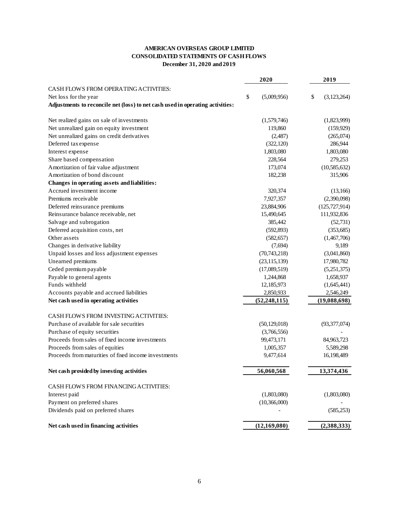# **AMERICAN OVERSEAS GROUP LIMITED CONSOLIDATED STATEMENTS OF CASH FLOWS December 31, 2020 and 2019**

|                                                                               | 2020              | 2019              |
|-------------------------------------------------------------------------------|-------------------|-------------------|
| CASH FLOWS FROM OPERATING ACTIVITIES:                                         |                   |                   |
| Net loss for the year                                                         | \$<br>(5,009,956) | \$<br>(3,123,264) |
| Adjustments to reconcile net (loss) to net cash used in operating activities: |                   |                   |
| Net realized gains on sale of investments                                     | (1,579,746)       | (1,823,999)       |
| Net unrealized gain on equity investment                                      | 119,860           | (159, 929)        |
| Net unrealized gains on credit derivatives                                    | (2,487)           | (265,074)         |
| Deferred tax expense                                                          | (322, 120)        | 286,944           |
| Interest expense                                                              | 1,803,080         | 1,803,080         |
| Share based compensation                                                      | 228,564           | 279,253           |
| Amortization of fair value adjustment                                         | 173,074           | (10, 585, 632)    |
| Amortization of bond discount                                                 | 182,238           | 315,906           |
| Changes in operating assets and liabilities:                                  |                   |                   |
| Accrued investment income                                                     | 320,374           | (13,166)          |
| Premiums receivable                                                           | 7,927,357         | (2,390,098)       |
| Deferred reinsurance premiums                                                 | 23,884,906        | (125, 727, 914)   |
| Reinsurance balance receivable, net                                           | 15,490,645        | 111,932,836       |
| Salvage and subrogation                                                       | 385,442           | (52, 731)         |
| Deferred acquisition costs, net                                               | (592, 893)        | (353, 685)        |
| Other assets                                                                  | (582, 657)        | (1,467,706)       |
| Changes in derivative liability                                               | (7,694)           | 9,189             |
| Unpaid losses and loss adjustment expenses                                    | (70, 743, 218)    | (3,041,860)       |
| Unearned premiums                                                             | (23, 115, 139)    | 17,980,782        |
| Ceded premium payable                                                         | (17,089,519)      | (5,251,375)       |
| Payable to general agents                                                     | 1,244,868         | 1,658,937         |
| Funds withheld                                                                | 12,185,973        | (1,645,441)       |
| Accounts payable and accrued liabilities                                      | 2,850,933         | 2,546,249         |
| Net cash used in operating activities                                         | (52, 248, 115)    | (19,088,698)      |
| <b>CASH FLOWS FROM INVESTING ACTIVITIES:</b>                                  |                   |                   |
| Purchase of available for sale securities                                     | (50, 129, 018)    | (93,377,074)      |
| Purchase of equity securities                                                 | (3,766,556)       |                   |
| Proceeds from sales of fixed income investments                               | 99,473,171        | 84,963,723        |
| Proceeds from sales of equities                                               | 1,005,357         | 5,589,298         |
| Proceeds from maturities of fixed income investments                          | 9,477,614         | 16,198,489        |
| Net cash provided by investing activities                                     | 56,060,568        | 13,374,436        |
| CASH FLOWS FROM FINANCING ACTIVITIES:                                         |                   |                   |
| Interest paid                                                                 | (1,803,080)       | (1,803,080)       |
| Payment on preferred shares                                                   | (10,366,000)      |                   |
| Dividends paid on preferred shares                                            |                   | (585, 253)        |
| Net cash used in financing activities                                         | (12,169,080)      | (2,388,333)       |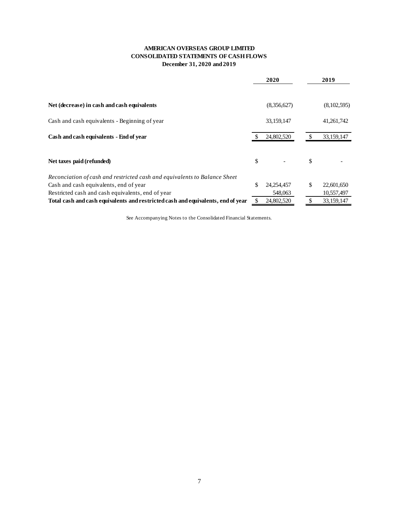# **AMERICAN OVERSEAS GROUP LIMITED CONSOLIDATED STATEMENTS OF CASH FLOWS December 31, 2020 and 2019**

|                                                                                  | 2020               |    | 2019         |
|----------------------------------------------------------------------------------|--------------------|----|--------------|
|                                                                                  |                    |    |              |
| Net (decrease) in cash and cash equivalents                                      | (8,356,627)        |    | (8,102,595)  |
| Cash and cash equivalents - Beginning of year                                    | 33,159,147         |    | 41, 261, 742 |
| Cash and cash equivalents - End of year                                          | 24,802,520         |    | 33,159,147   |
| Net taxes paid (refunded)                                                        | \$                 | \$ |              |
| Reconciation of cash and restricted cash and equivalents to Balance Sheet        |                    |    |              |
| Cash and cash equivalents, end of year                                           | \$<br>24, 254, 457 | \$ | 22,601,650   |
| Restricted cash and cash equivalents, end of year                                | 548,063            |    | 10,557,497   |
| Total cash and cash equivalents and restricted cash and equivalents, end of year | 24,802,520         |    | 33,159,147   |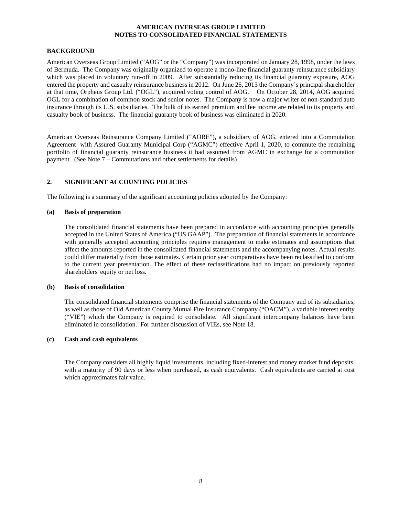#### **BACKGROUND**

American Overseas Group Limited ("AOG" or the "Company") was incorporated on January 28, 1998, under the laws of Bermuda. The Company was originally organized to operate a mono-line financial guaranty reinsurance subsidiary which was placed in voluntary run-off in 2009. After substantially reducing its financial guaranty exposure, AOG entered the property and casualty reinsurance business in 2012. On June 26, 2013 the Company's principal shareholder at that time, Orpheus Group Ltd. ("OGL"), acquired voting control of AOG. On October 28, 2014, AOG acquired OGL for a combination of common stock and senior notes. The Company is now a major writer of non-standard auto insurance through its U.S. subsidiaries. The bulk of its earned premium and fee income are related to its property and casualty book of business. The financial guaranty book of business was eliminated in 2020.

American Overseas Reinsurance Company Limited ("AORE"), a subsidiary of AOG, entered into a Commutation American Overseas Remsurance Company Zumicz (1111, 2002), 1986. April 1, 2020, to commute the remaining Agreement with Assured Guaranty Municipal Corp ("AGMC") effective April 1, 2020, to commute the remaining portfolio of financial guaranty reinsurance business it had assumed from AGMC in exchange for a commutation payment. (See Note 7 – Commutations and other settlements for details)

# **2. SIGNIFICANT ACCOUNTING POLICIES**

The following is a summary of the significant accounting policies adopted by the Company:

# **(a) Basis of preparation**

The consolidated financial statements have been prepared in accordance with accounting principles generally accepted in the United States of America ("US GAAP"). The preparation of financial statements in accordance with generally accepted accounting principles requires management to make estimates and assumptions that affect the amounts reported in the consolidated financial statements and the accompanying notes. Actual results could differ materially from those estimates. Certain prior year comparatives have been reclassified to conform to the current year presentation. The effect of these reclassifications had no impact on previously reported shareholders' equity or net loss.

#### **(b) Basis of consolidation**

The consolidated financial statements comprise the financial statements of the Company and of its subsidiaries, as well as those of Old American County Mutual Fire Insurance Company ("OACM"), a variable interest entity ("VIE") which the Company is required to consolidate. All significant intercompany balances have been eliminated in consolidation. For further discussion of VIEs, see Note 18.

# **(c) Cash and cash equivalents**

The Company considers all highly liquid investments, including fixed-interest and money market fund deposits, with a maturity of 90 days or less when purchased, as cash equivalents. Cash equivalents are carried at cost which approximates fair value.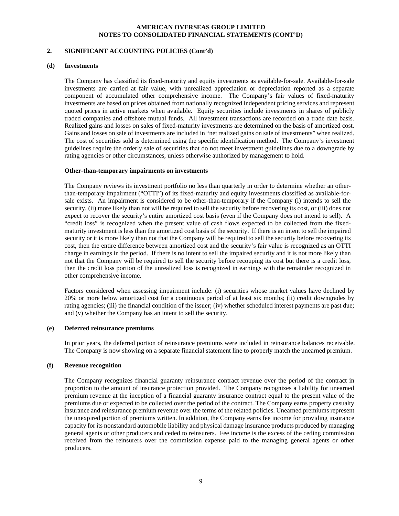# **2. SIGNIFICANT ACCOUNTING POLICIES (Cont'd)**

#### **(d) Investments**

The Company has classified its fixed-maturity and equity investments as available-for-sale. Available-for-sale investments are carried at fair value, with unrealized appreciation or depreciation reported as a separate component of accumulated other comprehensive income. The Company's fair values of fixed-maturity investments are based on prices obtained from nationally recognized independent pricing services and represent quoted prices in active markets when available. Equity securities include investments in shares of publicly traded companies and offshore mutual funds. All investment transactions are recorded on a trade date basis. Realized gains and losses on sales of fixed-maturity investments are determined on the basis of amortized cost. Gains and losses on sale of investments are included in "net realized gains on sale of investments" when realized. The cost of securities sold is determined using the specific identification method. The Company's investment guidelines require the orderly sale of securities that do not meet investment guidelines due to a downgrade by rating agencies or other circumstances, unless otherwise authorized by management to hold.

#### **Other-than-temporary impairments on investments**

The Company reviews its investment portfolio no less than quarterly in order to determine whether an otherthan-temporary impairment ("OTTI") of its fixed-maturity and equity investments classified as available-forsale exists. An impairment is considered to be other-than-temporary if the Company (i) intends to sell the security, (ii) more likely than not will be required to sell the security before recovering its cost, or (iii) does not expect to recover the security's entire amortized cost basis (even if the Company does not intend to sell). A "credit loss" is recognized when the present value of cash flows expected to be collected from the fixedmaturity investment is less than the amortized cost basis of the security. If there is an intent to sell the impaired security or it is more likely than not that the Company will be required to sell the security before recovering its cost, then the entire difference between amortized cost and the security's fair value is recognized as an OTTI charge in earnings in the period. If there is no intent to sell the impaired security and it is not more likely than not that the Company will be required to sell the security before recouping its cost but there is a credit loss, then the credit loss portion of the unrealized loss is recognized in earnings with the remainder recognized in other comprehensive income.

Factors considered when assessing impairment include: (i) securities whose market values have declined by 20% or more below amortized cost for a continuous period of at least six months; (ii) credit downgrades by rating agencies; (iii) the financial condition of the issuer; (iv) whether scheduled interest payments are past due; and (v) whether the Company has an intent to sell the security.

#### **(e) Deferred reinsurance premiums**

In prior years, the deferred portion of reinsurance premiums were included in reinsurance balances receivable. The Company is now showing on a separate financial statement line to properly match the unearned premium.

#### **(f) Revenue recognition**

The Company recognizes financial guaranty reinsurance contract revenue over the period of the contract in proportion to the amount of insurance protection provided. The Company recognizes a liability for unearned premium revenue at the inception of a financial guaranty insurance contract equal to the present value of the premiums due or expected to be collected over the period of the contract. The Company earns property casualty insurance and reinsurance premium revenue over the terms of the related policies. Unearned premiums represent the unexpired portion of premiums written. In addition, the Company earns fee income for providing insurance capacity for its nonstandard automobile liability and physical damage insurance products produced by managing general agents or other producers and ceded to reinsurers. Fee income is the excess of the ceding commission received from the reinsurers over the commission expense paid to the managing general agents or other producers.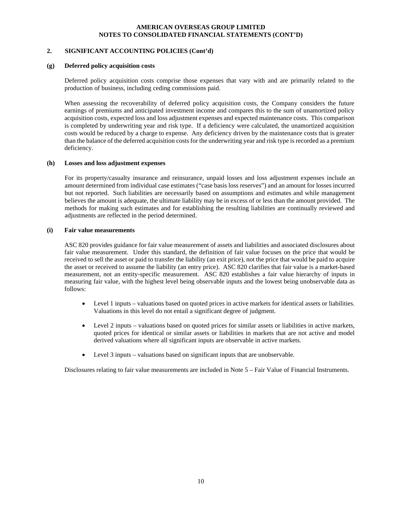#### **2. SIGNIFICANT ACCOUNTING POLICIES (Cont'd)**

#### **(g) Deferred policy acquisition costs**

Deferred policy acquisition costs comprise those expenses that vary with and are primarily related to the production of business, including ceding commissions paid.

When assessing the recoverability of deferred policy acquisition costs, the Company considers the future earnings of premiums and anticipated investment income and compares this to the sum of unamortized policy acquisition costs, expected loss and loss adjustment expenses and expected maintenance costs. This comparison is completed by underwriting year and risk type. If a deficiency were calculated, the unamortized acquisition costs would be reduced by a charge to expense. Any deficiency driven by the maintenance costs that is greater than the balance of the deferred acquisition costs for the underwriting year and risk type is recorded as a premium deficiency.

#### **(h) Losses and loss adjustment expenses**

For its property/casualty insurance and reinsurance, unpaid losses and loss adjustment expenses include an amount determined from individual case estimates ("case basis loss reserves") and an amount for losses incurred but not reported. Such liabilities are necessarily based on assumptions and estimates and while management believes the amount is adequate, the ultimate liability may be in excess of or less than the amount provided. The methods for making such estimates and for establishing the resulting liabilities are continually reviewed and adjustments are reflected in the period determined.

#### **(i) Fair value measurements**

ASC 820 provides guidance for fair value measurement of assets and liabilities and associated disclosures about fair value measurement. Under this standard, the definition of fair value focuses on the price that would be received to sell the asset or paid to transfer the liability (an exit price), not the price that would be paid to acquire the asset or received to assume the liability (an entry price). ASC 820 clarifies that fair value is a market-based measurement, not an entity-specific measurement. ASC 820 establishes a fair value hierarchy of inputs in measuring fair value, with the highest level being observable inputs and the lowest being unobservable data as follows:

- Level 1 inputs valuations based on quoted prices in active markets for identical assets or liabilities. Valuations in this level do not entail a significant degree of judgment.
- Level 2 inputs valuations based on quoted prices for similar assets or liabilities in active markets, quoted prices for identical or similar assets or liabilities in markets that are not active and model derived valuations where all significant inputs are observable in active markets.
- Level 3 inputs valuations based on significant inputs that are unobservable.

Disclosures relating to fair value measurements are included in Note 5 – Fair Value of Financial Instruments.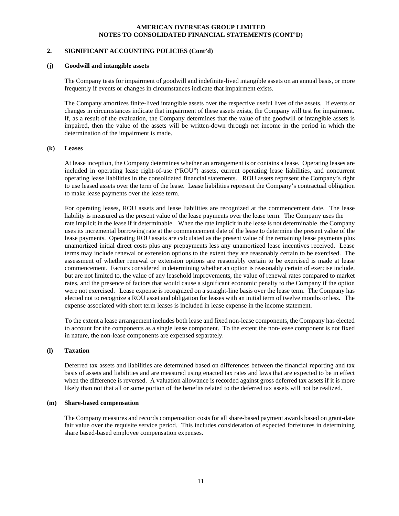#### **2. SIGNIFICANT ACCOUNTING POLICIES (Cont'd)**

#### **(j) Goodwill and intangible assets**

The Company tests for impairment of goodwill and indefinite-lived intangible assets on an annual basis, or more frequently if events or changes in circumstances indicate that impairment exists.

The Company amortizes finite-lived intangible assets over the respective useful lives of the assets. If events or changes in circumstances indicate that impairment of these assets exists, the Company will test for impairment. If, as a result of the evaluation, the Company determines that the value of the goodwill or intangible assets is impaired, then the value of the assets will be written-down through net income in the period in which the determination of the impairment is made.

#### **(k) Leases**

At lease inception, the Company determines whether an arrangement is or contains a lease. Operating leases are included in operating lease right-of-use ("ROU") assets, current operating lease liabilities, and noncurrent operating lease liabilities in the consolidated financial statements. ROU assets represent the Company's right to use leased assets over the term of the lease. Lease liabilities represent the Company's contractual obligation to make lease payments over the lease term.

 For operating leases, ROU assets and lease liabilities are recognized at the commencement date. The lease liability is measured as the present value of the lease payments over the lease term. The Company uses the rate implicit in the lease if it determinable. When the rate implicit in the lease is not determinable, the Company uses its incremental borrowing rate at the commencement date of the lease to determine the present value of the lease payments. Operating ROU assets are calculated as the present value of the remaining lease payments plus unamortized initial direct costs plus any prepayments less any unamortized lease incentives received. Lease terms may include renewal or extension options to the extent they are reasonably certain to be exercised. The assessment of whether renewal or extension options are reasonably certain to be exercised is made at lease commencement. Factors considered in determining whether an option is reasonably certain of exercise include, but are not limited to, the value of any leasehold improvements, the value of renewal rates compared to market rates, and the presence of factors that would cause a significant economic penalty to the Company if the option were not exercised. Lease expense is recognized on a straight-line basis over the lease term. The Company has elected not to recognize a ROU asset and obligation for leases with an initial term of twelve months or less. The expense associated with short term leases is included in lease expense in the income statement.

To the extent a lease arrangement includes both lease and fixed non-lease components, the Company has elected to account for the components as a single lease component. To the extent the non-lease component is not fixed in nature, the non-lease components are expensed separately.

#### **(l) Taxation**

Deferred tax assets and liabilities are determined based on differences between the financial reporting and tax basis of assets and liabilities and are measured using enacted tax rates and laws that are expected to be in effect when the difference is reversed. A valuation allowance is recorded against gross deferred tax assets if it is more likely than not that all or some portion of the benefits related to the deferred tax assets will not be realized.

#### **(m) Share-based compensation**

The Company measures and records compensation costs for all share-based payment awards based on grant-date fair value over the requisite service period. This includes consideration of expected forfeitures in determining share based-based employee compensation expenses.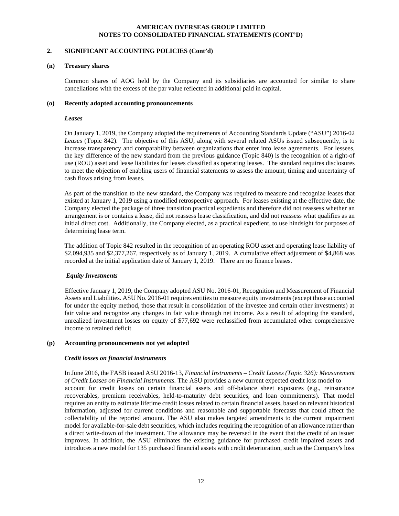# **2. SIGNIFICANT ACCOUNTING POLICIES (Cont'd)**

#### **(n) Treasury shares**

Common shares of AOG held by the Company and its subsidiaries are accounted for similar to share cancellations with the excess of the par value reflected in additional paid in capital.

#### **(o) Recently adopted accounting pronouncements**

#### *Leases*

On January 1, 2019, the Company adopted the requirements of Accounting Standards Update ("ASU") 2016-02 *Leases* (Topic 842). The objective of this ASU, along with several related ASUs issued subsequently, is to increase transparency and comparability between organizations that enter into lease agreements. For lessees, the key difference of the new standard from the previous guidance (Topic 840) is the recognition of a right-of use (ROU) asset and lease liabilities for leases classified as operating leases. The standard requires disclosures to meet the objection of enabling users of financial statements to assess the amount, timing and uncertainty of cash flows arising from leases.

As part of the transition to the new standard, the Company was required to measure and recognize leases that existed at January 1, 2019 using a modified retrospective approach. For leases existing at the effective date, the Company elected the package of three transition practical expedients and therefore did not reassess whether an arrangement is or contains a lease, did not reassess lease classification, and did not reassess what qualifies as an initial direct cost. Additionally, the Company elected, as a practical expedient, to use hindsight for purposes of determining lease term.

The addition of Topic 842 resulted in the recognition of an operating ROU asset and operating lease liability of \$2,094,935 and \$2,377,267, respectively as of January 1, 2019. A cumulative effect adjustment of \$4,868 was recorded at the initial application date of January 1, 2019. There are no finance leases.

#### *Equity Investments*

 Effective January 1, 2019, the Company adopted ASU No. 2016-01, Recognition and Measurement of Financial Assets and Liabilities. ASU No. 2016-01 requires entities to measure equity investments (except those accounted for under the equity method, those that result in consolidation of the investee and certain other investments) at fair value and recognize any changes in fair value through net income. As a result of adopting the standard, unrealized investment losses on equity of \$77,692 were reclassified from accumulated other comprehensive income to retained deficit

#### **(p) Accounting pronouncements not yet adopted**

#### *Credit losses on financial instruments*

In June 2016, the FASB issued ASU 2016-13, *Financial Instruments – Credit Losses (Topic 326): Measurement of Credit Losses on Financial Instruments.* The ASU provides a new current expected credit loss model to account for credit losses on certain financial assets and off-balance sheet exposures (e.g., reinsurance recoverables, premium receivables, held-to-maturity debt securities, and loan commitments). That model requires an entity to estimate lifetime credit losses related to certain financial assets, based on relevant historical information, adjusted for current conditions and reasonable and supportable forecasts that could affect the collectability of the reported amount. The ASU also makes targeted amendments to the current impairment model for available-for-sale debt securities, which includes requiring the recognition of an allowance rather than a direct write-down of the investment. The allowance may be reversed in the event that the credit of an issuer improves. In addition, the ASU eliminates the existing guidance for purchased credit impaired assets and introduces a new model for 135 purchased financial assets with credit deterioration, such as the Company's loss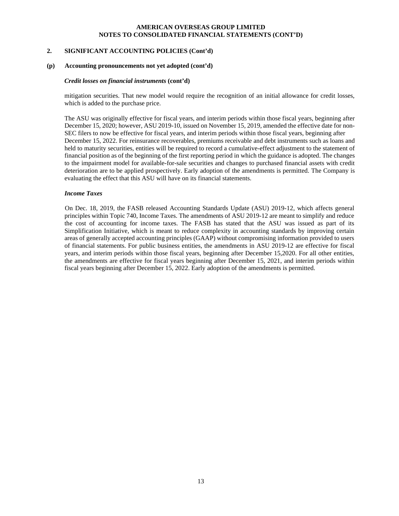#### **2. SIGNIFICANT ACCOUNTING POLICIES (Cont'd)**

#### **(p) Accounting pronouncements not yet adopted (cont'd)**

#### *Credit losses on financial instruments* **(cont'd)**

mitigation securities. That new model would require the recognition of an initial allowance for credit losses, which is added to the purchase price.

The ASU was originally effective for fiscal years, and interim periods within those fiscal years, beginning after December 15, 2020; however, ASU 2019-10, issued on November 15, 2019, amended the effective date for non-SEC filers to now be effective for fiscal years, and interim periods within those fiscal years, beginning after December 15, 2022. For reinsurance recoverables, premiums receivable and debt instruments such as loans and held to maturity securities, entities will be required to record a cumulative-effect adjustment to the statement of financial position as of the beginning of the first reporting period in which the guidance is adopted. The changes to the impairment model for available-for-sale securities and changes to purchased financial assets with credit deterioration are to be applied prospectively. Early adoption of the amendments is permitted. The Company is evaluating the effect that this ASU will have on its financial statements.

#### *Income Taxes*

 On Dec. 18, 2019, the FASB released Accounting Standards Update (ASU) 2019-12, which affects general principles within Topic 740, Income Taxes. The amendments of ASU 2019-12 are meant to simplify and reduce the cost of accounting for income taxes. The FASB has stated that the ASU was issued as part of its Simplification Initiative, which is meant to reduce complexity in accounting standards by improving certain areas of generally accepted accounting principles (GAAP) without compromising information provided to users of financial statements. For public business entities, the amendments in ASU 2019-12 are effective for fiscal years, and interim periods within those fiscal years, beginning after December 15,2020. For all other entities, the amendments are effective for fiscal years beginning after December 15, 2021, and interim periods within fiscal years beginning after December 15, 2022. Early adoption of the amendments is permitted.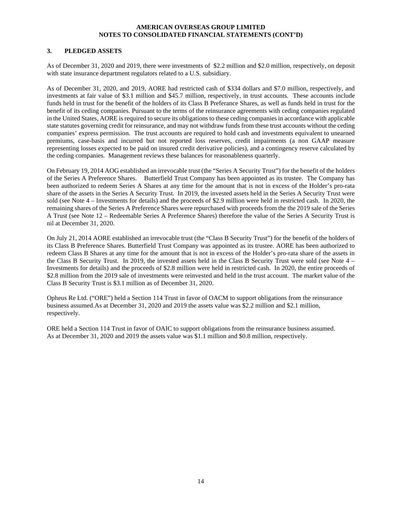#### **3. PLEDGED ASSETS**

As of December 31, 2020 and 2019, there were investments of \$2.2 million and \$2.0 million, respectively, on deposit with state insurance department regulators related to a U.S. subsidiary.

As of December 31, 2020, and 2019, AORE had restricted cash of \$334 dollars and \$7.0 million, respectively, and investments at fair value of \$3.1 million and \$45.7 million, respectively, in trust accounts. These accounts include funds held in trust for the benefit of the holders of its Class B Preferance Shares, as well as funds held in trust for the benefit of its ceding companies. Pursuant to the terms of the reinsurance agreements with ceding companies regulated in the United States, AORE is required to secure its obligations to these ceding companies in accordance with applicable state statutes governing credit for reinsurance, and may not withdraw funds from these trust accounts without the ceding companies' express permission. The trust accounts are required to hold cash and investments equivalent to unearned premiums, case-basis and incurred but not reported loss reserves, credit impairments (a non GAAP measure representing losses expected to be paid on insured credit derivative policies), and a contingency reserve calculated by the ceding companies. Management reviews these balances for reasonableness quarterly.

On February 19, 2014 AOG established an irrevocable trust (the "Series A Security Trust") for the benefit of the holders of the Series A Preference Shares. Butterfield Trust Company has been appointed as its trustee. The Company has been authorized to redeem Series A Shares at any time for the amount that is not in excess of the Holder's pro-rata share of the assets in the Series A Security Trust. In 2019, the invested assets held in the Series A Security Trust were sold (see Note 4 – Investments for details) and the proceeds of \$2.9 million were held in restricted cash. In 2020, the remaining shares of the Series A Preference Shares were repurchased with proceeds from the the 2019 sale of the Series A Trust (see Note 12 – Redeemable Series A Preference Shares) therefore the value of the Series A Security Trust is nil at December 31, 2020.

On July 21, 2014 AORE established an irrevocable trust (the "Class B Security Trust") for the benefit of the holders of its Class B Preference Shares. Butterfield Trust Company was appointed as its trustee. AORE has been authorized to redeem Class B Shares at any time for the amount that is not in excess of the Holder's pro-rata share of the assets in the Class B Security Trust. In 2019, the invested assets held in the Class B Security Trust were sold (see Note 4 – Investments for details) and the proceeds of \$2.8 million were held in restricted cash. In 2020, the entire proceeds of \$2.8 million from the 2019 sale of investments were reinvested and held in the trust account. The market value of the Class B Security Trust is \$3.1 million as of December 31, 2020.

Opheus Re Ltd. ("ORE") held a Section 114 Trust in favor of OACM to support obligations from the reinsurance business assumed.As at December 31, 2020 and 2019 the assets value was \$2.2 million and \$2.1 million, respectively.

ORE held a Section 114 Trust in favor of OAIC to support obligations from the reinsurance business assumed. As at December 31, 2020 and 2019 the assets value was \$1.1 million and \$0.8 million, respectively.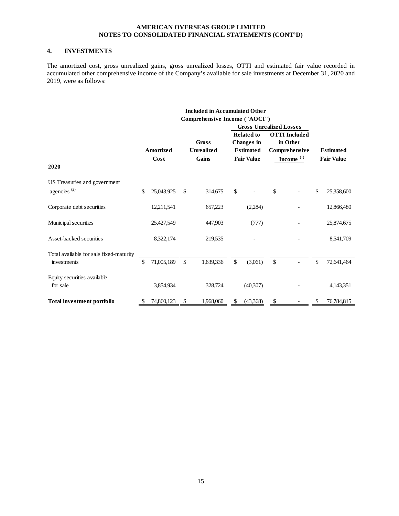# **4. INVESTMENTS**

The amortized cost, gross unrealized gains, gross unrealized losses, OTTI and estimated fair value recorded in accumulated other comprehensive income of the Company's available for sale investments at December 31, 2020 and 2019, were as follows:

|                                         |                                   |              | <b>Included in Accumulated Other</b> |              |                                |         |                       |                   |
|-----------------------------------------|-----------------------------------|--------------|--------------------------------------|--------------|--------------------------------|---------|-----------------------|-------------------|
|                                         |                                   |              | Comprehensive Income ("AOCI")        |              |                                |         |                       |                   |
|                                         |                                   |              |                                      |              | <b>Gross Unrealized Losses</b> |         |                       |                   |
|                                         |                                   |              |                                      |              | <b>Related to</b>              |         | <b>OTTI</b> Included  |                   |
|                                         |                                   |              | <b>Gross</b>                         |              | <b>Changes</b> in              |         | in Other              |                   |
|                                         | Amortized                         |              | <b>Unrealized</b>                    |              | <b>Estimated</b>               |         | Comprehensive         | <b>Estimated</b>  |
|                                         |                                   |              |                                      |              |                                |         | Income <sup>(1)</sup> |                   |
| 2020                                    | $\frac{\text{Cost}}{\text{Cost}}$ |              | Gains                                |              | <b>Fair Value</b>              |         |                       | <b>Fair Value</b> |
| US Treasuries and government            |                                   |              |                                      |              |                                |         |                       |                   |
| agencies <sup>(2)</sup>                 | \$<br>25,043,925                  | \$           | 314,675                              | \$           |                                | \$      |                       | \$<br>25,358,600  |
| Corporate debt securities               | 12,211,541                        |              | 657,223                              |              | (2,284)                        |         |                       | 12,866,480        |
| Municipal securities                    | 25,427,549                        |              | 447,903                              |              | (777)                          |         |                       | 25,874,675        |
| Asset-backed securities                 | 8,322,174                         |              | 219,535                              |              |                                |         |                       | 8,541,709         |
| Total available for sale fixed-maturity |                                   |              |                                      |              |                                |         |                       |                   |
| investments                             | \$<br>71,005,189                  | $\mathbb{S}$ | 1,639,336                            | $\mathbb{S}$ | (3,061)                        | $\sqrt$ |                       | \$<br>72,641,464  |
| Equity securities available             |                                   |              |                                      |              |                                |         |                       |                   |
| for sale                                | 3,854,934                         |              | 328,724                              |              | (40,307)                       |         |                       | 4,143,351         |
| <b>Total investment portfolio</b>       | \$<br>74,860,123                  | \$           | 1,968,060                            | \$           | (43,368)                       | \$      |                       | \$<br>76,784,815  |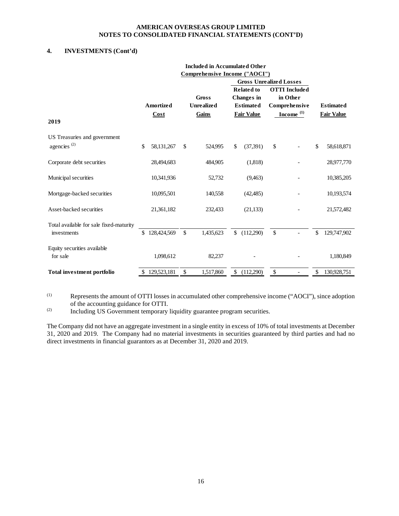# **4. INVESTMENTS (Cont'd)**

|                                         |                   | <b>Included in Accumulated Other</b> |              |                                        |                                  |                   |
|-----------------------------------------|-------------------|--------------------------------------|--------------|----------------------------------------|----------------------------------|-------------------|
|                                         |                   | Comprehensive Income ("AOCI")        |              |                                        |                                  |                   |
|                                         |                   |                                      |              | <b>Gross Unrealized Losses</b>         |                                  |                   |
|                                         |                   | <b>Gross</b>                         |              | <b>Related to</b><br><b>Changes</b> in | <b>OTTI</b> Included<br>in Other |                   |
|                                         | <b>Amortized</b>  | <b>Unrealized</b>                    |              | <b>Estimated</b>                       | Comprehensive                    | <b>Estimated</b>  |
|                                         | Cost              | Gains                                |              | <b>Fair Value</b>                      | $Income(1)$                      | <b>Fair Value</b> |
| 2019                                    |                   |                                      |              |                                        |                                  |                   |
| US Treasuries and government            |                   |                                      |              |                                        |                                  |                   |
| agencies <sup>(2)</sup>                 | \$<br>58,131,267  | \$<br>524,995                        | $\mathbb{S}$ | (37, 391)                              | \$                               | \$<br>58,618,871  |
| Corporate debt securities               | 28,494,683        | 484,905                              |              | (1,818)                                |                                  | 28,977,770        |
| Municipal securities                    | 10,341,936        | 52,732                               |              | (9,463)                                |                                  | 10,385,205        |
| Mortgage-backed securities              | 10,095,501        | 140,558                              |              | (42, 485)                              |                                  | 10,193,574        |
| Asset-backed securities                 | 21,361,182        | 232,433                              |              | (21, 133)                              |                                  | 21,572,482        |
| Total available for sale fixed-maturity |                   |                                      |              |                                        |                                  |                   |
| investments                             | \$<br>128,424,569 | \$<br>1,435,623                      | \$           | (112,290)                              | \$                               | \$<br>129,747,902 |
| Equity securities available             |                   |                                      |              |                                        |                                  |                   |
| for sale                                | 1,098,612         | 82,237                               |              |                                        |                                  | 1,180,849         |
| <b>Total investment portfolio</b>       | \$<br>129,523,181 | \$<br>1,517,860                      | \$           | (112,290)                              | \$                               | \$<br>130,928,751 |

(1) Represents the amount of OTTI losses in accumulated other comprehensive income ("AOCI"), since adoption of the accounting guidance for OTTI.

(2) Including US Government temporary liquidity guarantee program securities.

The Company did not have an aggregate investment in a single entity in excess of 10% of total investments at December 31, 2020 and 2019. The Company had no material investments in securities guaranteed by third parties and had no direct investments in financial guarantors as at December 31, 2020 and 2019.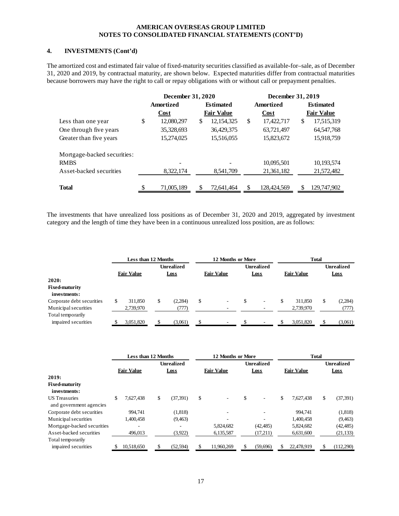# **4. INVESTMENTS (Cont'd)**

The amortized cost and estimated fair value of fixed-maturity securities classified as available-for–sale, as of December 31, 2020 and 2019, by contractual maturity, are shown below. Expected maturities differ from contractual maturities because borrowers may have the right to call or repay obligations with or without call or prepayment penalties.

|                             | December 31, 2020 |                    | December 31, 2019 |                   |
|-----------------------------|-------------------|--------------------|-------------------|-------------------|
|                             | <b>Amortized</b>  | <b>Estimated</b>   | Amortized         | <b>Estimated</b>  |
|                             | Cost              | <b>Fair Value</b>  | Cost              | <b>Fair Value</b> |
| Less than one year          | \$<br>12,080,297  | \$<br>12, 154, 325 | \$<br>17,422,717  | \$<br>17,515,319  |
| One through five years      | 35,328,693        | 36,429,375         | 63,721,497        | 64, 547, 768      |
| Greater than five years     | 15,274,025        | 15,516,055         | 15,823,672        | 15,918,759        |
| Mortgage-backed securities: |                   |                    |                   |                   |
| <b>RMBS</b>                 |                   |                    | 10,095,501        | 10,193,574        |
| Asset-backed securities     | 8,322,174         | 8,541,709          | 21,361,182        | 21,572,482        |
|                             |                   |                    |                   |                   |
| <b>Total</b>                | \$<br>71,005,189  | 72.641.464         | \$<br>128,424,569 | \$<br>129,747,902 |

The investments that have unrealized loss positions as of December 31, 2020 and 2019, aggregated by investment category and the length of time they have been in a continuous unrealized loss position, are as follows:

|                           |   | Less than 12 Months |                   |   | 12 Months or More        |             | <b>Total</b>      |                   |
|---------------------------|---|---------------------|-------------------|---|--------------------------|-------------|-------------------|-------------------|
|                           |   |                     | <b>Unrealized</b> |   |                          | Unrealized  |                   | <b>Unrealized</b> |
|                           |   | <b>Fair Value</b>   | <b>Loss</b>       |   | <b>Fair Value</b>        | <b>Loss</b> | <b>Fair Value</b> | <b>Loss</b>       |
| 2020:                     |   |                     |                   |   |                          |             |                   |                   |
| <b>Fixed-maturity</b>     |   |                     |                   |   |                          |             |                   |                   |
| investments:              |   |                     |                   |   |                          |             |                   |                   |
| Corporate debt securities | S | 311,850             | \$<br>(2,284)     | S | $\overline{\phantom{a}}$ | \$<br>٠     | 311.850           | (2,284)           |
| Municipal securities      |   | 2,739,970           | (777)             |   |                          |             | 2,739,970         | (777)             |
| Total temporarily         |   |                     |                   |   |                          |             |                   |                   |
| impaired securities       |   | 3,051,820           | (3,061)           |   |                          |             | 3,051,820         | (3,061)           |

|                                                 | Less than 12 Months |                   | 12 Months or More              |    |                   | <b>Total</b> |                   |    |                   |
|-------------------------------------------------|---------------------|-------------------|--------------------------------|----|-------------------|--------------|-------------------|----|-------------------|
|                                                 |                     | <b>Unrealized</b> |                                |    | <b>Unrealized</b> |              |                   |    | <b>Unrealized</b> |
|                                                 | <b>Fair Value</b>   | <b>Loss</b>       | <b>Fair Value</b>              |    | <b>Loss</b>       |              | <b>Fair Value</b> |    | <b>Loss</b>       |
| 2019:                                           |                     |                   |                                |    |                   |              |                   |    |                   |
| <b>Fixed-maturity</b>                           |                     |                   |                                |    |                   |              |                   |    |                   |
| investments:                                    |                     |                   |                                |    |                   |              |                   |    |                   |
| <b>US</b> Treasuries<br>and government agencies | \$<br>7.627.438     | \$<br>(37, 391)   | \$<br>$\overline{\phantom{a}}$ | \$ | ٠                 | \$           | 7,627,438         | \$ | (37, 391)         |
| Corporate debt securities                       | 994.741             | (1,818)           |                                |    |                   |              | 994.741           |    | (1,818)           |
| Municipal securities                            | 1,400,458           | (9, 463)          |                                |    |                   |              | 1,400,458         |    | (9, 463)          |
| Mortgage-backed securities                      | ۰                   | ۰                 | 5,824,682                      |    | (42, 485)         |              | 5,824,682         |    | (42, 485)         |
| Asset-backed securities                         | 496,013             | (3,922)           | 6,135,587                      |    | (17,211)          |              | 6,631,600         |    | (21, 133)         |
| Total temporarily                               |                     |                   |                                |    |                   |              |                   |    |                   |
| impaired securities                             | 10.518.650          | (52, 594)         | 11.960.269                     | S  | (59,696)          |              | 22,478.919        |    | (112,290)         |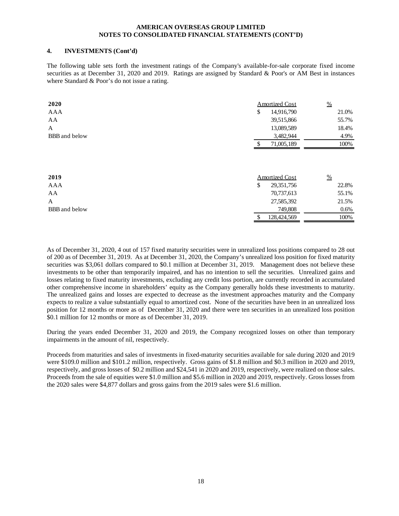#### **4. INVESTMENTS (Cont'd)**

The following table sets forth the investment ratings of the Company's available-for-sale corporate fixed income securities as at December 31, 2020 and 2019. Ratings are assigned by Standard & Poor's or AM Best in instances where Standard & Poor's do not issue a rating.

| 2020                 | <b>Amortized Cost</b> | $\frac{9}{6}$ |
|----------------------|-----------------------|---------------|
| <b>AAA</b>           | 14,916,790<br>\$      | 21.0%         |
| AA                   | 39,515,866            | 55.7%         |
| A                    | 13,089,589            | 18.4%         |
| <b>BBB</b> and below | 3,482,944             | 4.9%          |
|                      | 71,005,189            | 100%          |
| 2019                 |                       |               |
|                      | <b>Amortized Cost</b> | $\frac{0}{0}$ |
| AAA                  | \$<br>29, 351, 756    | 22.8%         |
| AA                   | 70,737,613            | 55.1%         |
| A                    | 27,585,392            | 21.5%         |
| <b>BBB</b> and below | 749,808               | $0.6\%$       |
|                      | \$<br>128,424,569     | 100%          |

As of December 31, 2020, 4 out of 157 fixed maturity securities were in unrealized loss positions compared to 28 out of 200 as of December 31, 2019. As at December 31, 2020, the Company's unrealized loss position for fixed maturity securities was \$3,061 dollars compared to \$0.1 million at December 31, 2019. Management does not believe these investments to be other than temporarily impaired, and has no intention to sell the securities. Unrealized gains and losses relating to fixed maturity investments, excluding any credit loss portion, are currently recorded in accumulated other comprehensive income in shareholders' equity as the Company generally holds these investments to maturity. The unrealized gains and losses are expected to decrease as the investment approaches maturity and the Company expects to realize a value substantially equal to amortized cost. None of the securities have been in an unrealized loss position for 12 months or more as of December 31, 2020 and there were ten securities in an unrealized loss position \$0.1 million for 12 months or more as of December 31, 2019.

During the years ended December 31, 2020 and 2019, the Company recognized losses on other than temporary impairments in the amount of nil, respectively.

Proceeds from maturities and sales of investments in fixed-maturity securities available for sale during 2020 and 2019 were \$109.0 million and \$101.2 million, respectively. Gross gains of \$1.8 million and \$0.3 million in 2020 and 2019, respectively, and gross losses of \$0.2 million and \$24,541 in 2020 and 2019, respectively, were realized on those sales. Proceeds from the sale of equities were \$1.0 million and \$5.6 million in 2020 and 2019, respectively. Gross losses from the 2020 sales were \$4,877 dollars and gross gains from the 2019 sales were \$1.6 million.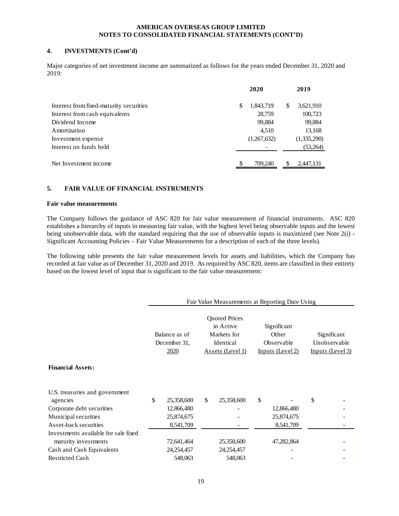# **4. INVESTMENTS (Cont'd)**

Major categories of net investment income are summarized as follows for the years ended December 31, 2020 and 2019:

|                                         |   | 2020        |     | 2019        |
|-----------------------------------------|---|-------------|-----|-------------|
| Interest from fixed-maturity securities | S | 1,843,719   | \$  | 3,621,910   |
| Interest from cash equivalents          |   | 28,759      |     | 100,723     |
| Dividend Income                         |   | 99,884      |     | 99,884      |
| Amortization                            |   | 4,510       |     | 13,168      |
| Investment expense                      |   | (1,267,632) |     | (1,335,290) |
| Interest on funds held                  |   |             |     | (53,264)    |
|                                         |   |             |     |             |
| Net Investment income                   |   | 709,240     | \$. | 2,447,131   |

# **5. FAIR VALUE OF FINANCIAL INSTRUMENTS**

#### **Fair value measurements**

The Company follows the guidance of ASC 820 for fair value measurement of financial instruments. ASC 820 establishes a hierarchy of inputs in measuring fair value, with the highest level being observable inputs and the lowest being unobservable data, with the standard requiring that the use of observable inputs is maximized (see Note 2(i) -Significant Accounting Policies – Fair Value Measurements for a description of each of the three levels).

The following table presents the fair value measurement levels for assets and liabilities, which the Company has recorded at fair value as of December 31, 2020 and 2019. As required by ASC 820, items are classified in their entirety based on the lowest level of input that is significant to the fair value measurement:

|                                            |                                       |    |                                                                                   |    | Fair Value Measurements at Reporting Date Using        |                                                 |
|--------------------------------------------|---------------------------------------|----|-----------------------------------------------------------------------------------|----|--------------------------------------------------------|-------------------------------------------------|
|                                            | Balance as of<br>December 31.<br>2020 |    | <b>Quoted Prices</b><br>in Active<br>Markets for<br>Identical<br>Assets (Level 1) |    | Significant<br>Other<br>Observable<br>Inputs (Level 2) | Significant<br>Unobservable<br>Inputs (Level 3) |
| <b>Financial Assets:</b>                   |                                       |    |                                                                                   |    |                                                        |                                                 |
| U.S. treasuries and government<br>agencies | \$<br>25,358,600                      | \$ | 25,358,600                                                                        | \$ |                                                        | \$                                              |
| Corporate debt securities                  | 12,866,480                            |    |                                                                                   |    | 12,866,480                                             |                                                 |
| Municipal securities                       | 25,874,675                            |    |                                                                                   |    | 25,874,675                                             |                                                 |
| Asset-back securities                      | 8,541,709                             |    |                                                                                   |    | 8,541,709                                              |                                                 |
| Investments available for sale fixed       |                                       |    |                                                                                   |    |                                                        |                                                 |
| maturity investments                       | 72,641,464                            |    | 25,358,600                                                                        |    | 47,282,864                                             |                                                 |
| Cash and Cash Equivalents                  | 24,254,457                            |    | 24,254,457                                                                        |    |                                                        |                                                 |
| <b>Restricted Cash</b>                     | 548,063                               |    | 548,063                                                                           |    |                                                        |                                                 |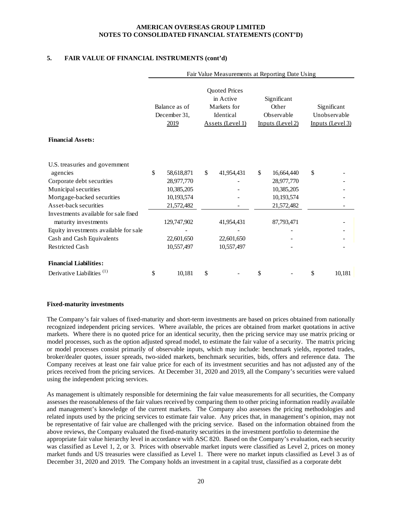# **5. FAIR VALUE OF FINANCIAL INSTRUMENTS (cont'd)**

|                                            |                                       |             | Fair Value Measurements at Reporting Date Using                                   |                                                        |                                                 |
|--------------------------------------------|---------------------------------------|-------------|-----------------------------------------------------------------------------------|--------------------------------------------------------|-------------------------------------------------|
|                                            | Balance as of<br>December 31,<br>2019 |             | <b>Quoted Prices</b><br>in Active<br>Markets for<br>Identical<br>Assets (Level 1) | Significant<br>Other<br>Observable<br>Inputs (Level 2) | Significant<br>Unobservable<br>Inputs (Level 3) |
| <b>Financial Assets:</b>                   |                                       |             |                                                                                   |                                                        |                                                 |
| U.S. treasuries and government<br>agencies | \$                                    | 58,618,871  | \$<br>41,954,431                                                                  | \$<br>16,664,440                                       | \$                                              |
| Corporate debt securities                  |                                       | 28,977,770  |                                                                                   | 28,977,770                                             |                                                 |
| Municipal securities                       |                                       | 10,385,205  |                                                                                   | 10,385,205                                             |                                                 |
| Mortgage-backed securities                 |                                       | 10,193,574  |                                                                                   | 10,193,574                                             |                                                 |
| Asset-back securities                      |                                       | 21,572,482  |                                                                                   | 21,572,482                                             |                                                 |
| Investments available for sale fixed       |                                       |             |                                                                                   |                                                        |                                                 |
| maturity investments                       |                                       | 129,747,902 | 41,954,431                                                                        | 87,793,471                                             |                                                 |
| Equity investments available for sale      |                                       |             |                                                                                   |                                                        |                                                 |
| Cash and Cash Equivalents                  |                                       | 22,601,650  | 22,601,650                                                                        |                                                        |                                                 |
| <b>Restricted Cash</b>                     |                                       | 10,557,497  | 10,557,497                                                                        |                                                        |                                                 |
| <b>Financial Liabilities:</b>              |                                       |             |                                                                                   |                                                        |                                                 |
| Derivative Liabilities <sup>(1)</sup>      | \$                                    | 10,181      | \$                                                                                | \$                                                     | \$<br>10.181                                    |

#### **Fixed-maturity investments**

The Company's fair values of fixed-maturity and short-term investments are based on prices obtained from nationally recognized independent pricing services. Where available, the prices are obtained from market quotations in active markets. Where there is no quoted price for an identical security, then the pricing service may use matrix pricing or model processes, such as the option adjusted spread model, to estimate the fair value of a security. The matrix pricing or model processes consist primarily of observable inputs, which may include: benchmark yields, reported trades, broker/dealer quotes, issuer spreads, two-sided markets, benchmark securities, bids, offers and reference data. The Company receives at least one fair value price for each of its investment securities and has not adjusted any of the prices received from the pricing services. At December 31, 2020 and 2019, all the Company's securities were valued using the independent pricing services.

As management is ultimately responsible for determining the fair value measurements for all securities, the Company assesses the reasonableness of the fair values received by comparing them to other pricing information readily available and management's knowledge of the current markets. The Company also assesses the pricing methodologies and related inputs used by the pricing services to estimate fair value. Any prices that, in management's opinion, may not be representative of fair value are challenged with the pricing service. Based on the information obtained from the above reviews, the Company evaluated the fixed-maturity securities in the investment portfolio to determine the appropriate fair value hierarchy level in accordance with ASC 820. Based on the Company's evaluation, each security was classified as Level 1, 2, or 3. Prices with observable market inputs were classified as Level 2, prices on money market funds and US treasuries were classified as Level 1. There were no market inputs classified as Level 3 as of December 31, 2020 and 2019. The Company holds an investment in a capital trust, classified as a corporate debt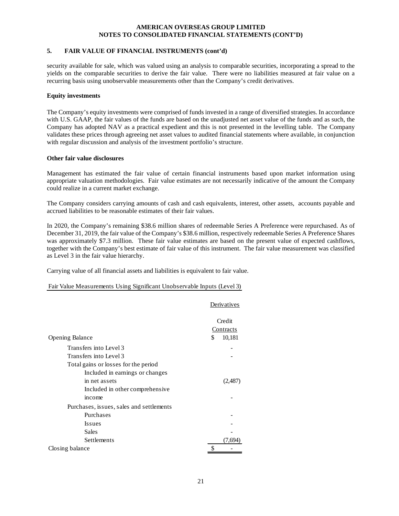#### **5. FAIR VALUE OF FINANCIAL INSTRUMENTS (cont'd)**

security available for sale, which was valued using an analysis to comparable securities, incorporating a spread to the yields on the comparable securities to derive the fair value. There were no liabilities measured at fair value on a recurring basis using unobservable measurements other than the Company's credit derivatives.

#### **Equity investments**

The Company's equity investments were comprised of funds invested in a range of diversified strategies. In accordance with U.S. GAAP, the fair values of the funds are based on the unadjusted net asset value of the funds and as such, the Company has adopted NAV as a practical expedient and this is not presented in the levelling table. The Company validates these prices through agreeing net asset values to audited financial statements where available, in conjunction with regular discussion and analysis of the investment portfolio's structure.

# **Other fair value disclosures**

Management has estimated the fair value of certain financial instruments based upon market information using appropriate valuation methodologies. Fair value estimates are not necessarily indicative of the amount the Company could realize in a current market exchange.

The Company considers carrying amounts of cash and cash equivalents, interest, other assets, accounts payable and accrued liabilities to be reasonable estimates of their fair values.

In 2020, the Company's remaining \$38.6 million shares of redeemable Series A Preference were repurchased. As of December 31, 2019, the fair value of the Company's \$38.6 million, respectively redeemable Series A Preference Shares was approximately \$7.3 million. These fair value estimates are based on the present value of expected cashflows, together with the Company's best estimate of fair value of this instrument. The fair value measurement was classified as Level 3 in the fair value hierarchy.

Carrying value of all financial assets and liabilities is equivalent to fair value.

# Fair Value Measurements Using Significant Unobservable Inputs (Level 3)

|                                          | Derivatives  |
|------------------------------------------|--------------|
|                                          | Credit       |
|                                          | Contracts    |
| <b>Opening Balance</b>                   | \$<br>10,181 |
| Transfers into Level 3                   |              |
| Transfers into Level 3                   |              |
| Total gains or losses for the period     |              |
| Included in earnings or changes          |              |
| in net assets                            | (2,487       |
| Included in other comprehensive          |              |
| income                                   |              |
| Purchases, issues, sales and settlements |              |
| Purchases                                |              |
| <b>Issues</b>                            |              |
| Sales                                    |              |
| Settlements                              | (7.69        |
| Closing balance                          |              |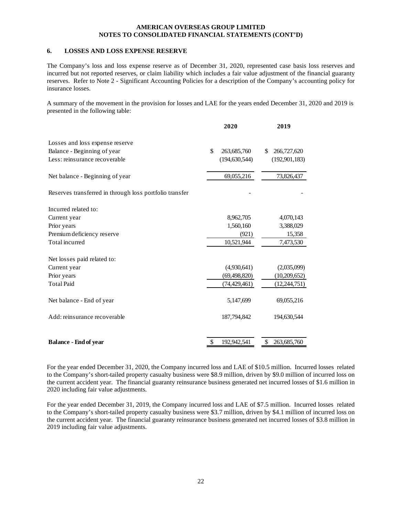#### **6. LOSSES AND LOSS EXPENSE RESERVE**

The Company's loss and loss expense reserve as of December 31, 2020, represented case basis loss reserves and incurred but not reported reserves, or claim liability which includes a fair value adjustment of the financial guaranty reserves. Refer to Note 2 - Significant Accounting Policies for a description of the Company's accounting policy for insurance losses.

A summary of the movement in the provision for losses and LAE for the years ended December 31, 2020 and 2019 is presented in the following table:

|                                                         | 2020              | 2019              |
|---------------------------------------------------------|-------------------|-------------------|
| Losses and loss expense reserve                         |                   |                   |
| Balance - Beginning of year                             | \$<br>263,685,760 | 266,727,620<br>\$ |
| Less: reinsurance recoverable                           | (194, 630, 544)   | (192, 901, 183)   |
| Net balance - Beginning of year                         | 69,055,216        | 73,826,437        |
| Reserves transferred in through loss portfolio transfer |                   |                   |
| Incurred related to:                                    |                   |                   |
| Current year                                            | 8,962,705         | 4,070,143         |
| Prior years                                             | 1,560,160         | 3,388,029         |
| Premium deficiency reserve                              | (921)             | 15,358            |
| Total incurred                                          | 10,521,944        | 7,473,530         |
| Net losses paid related to:                             |                   |                   |
| Current year                                            | (4,930,641)       | (2,035,099)       |
| Prior years                                             | (69, 498, 820)    | (10,209,652)      |
| <b>Total Paid</b>                                       | (74, 429, 461)    | (12, 244, 751)    |
| Net balance - End of year                               | 5,147,699         | 69,055,216        |
| Add: reinsurance recoverable                            | 187,794,842       | 194,630,544       |
|                                                         |                   |                   |
| <b>Balance - End of year</b>                            | \$<br>192,942,541 | \$<br>263,685,760 |

For the year ended December 31, 2020, the Company incurred loss and LAE of \$10.5 million. Incurred losses related to the Company's short-tailed property casualty business were \$8.9 million, driven by \$9.0 million of incurred loss on the current accident year. The financial guaranty reinsurance business generated net incurred losses of \$1.6 million in 2020 including fair value adjustments.

For the year ended December 31, 2019, the Company incurred loss and LAE of \$7.5 million. Incurred losses related to the Company's short-tailed property casualty business were \$3.7 million, driven by \$4.1 million of incurred loss on the current accident year. The financial guaranty reinsurance business generated net incurred losses of \$3.8 million in 2019 including fair value adjustments.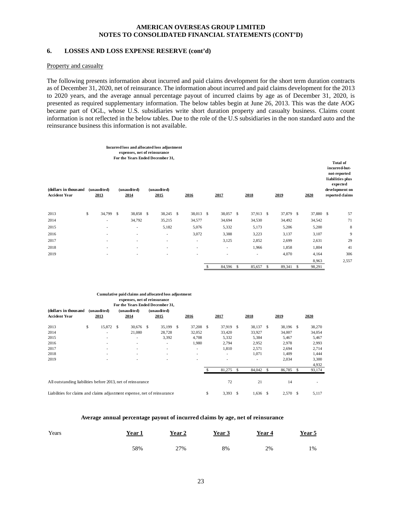#### **6. LOSSES AND LOSS EXPENSE RESERVE (cont'd)**

#### Property and casualty

The following presents information about incurred and paid claims development for the short term duration contracts as of December 31, 2020, net of reinsurance. The information about incurred and paid claims development for the 2013 to 2020 years, and the average annual percentage payout of incurred claims by age as of December 31, 2020, is presented as required supplementary information. The below tables begin at June 26, 2013. This was the date AOG became part of OGL, whose U.S. subsidiaries write short duration property and casualty business. Claims count information is not reflected in the below tables. Due to the role of the U.S subsidiaries in the non standard auto and the reinsurance business this information is not available.

|                                              |                          |   | expenses, net of reinsurance | Incurred loss and allocated loss adjustment<br>For the Years Ended December 31, |                          |   |                          |    |           |    |           |           | <b>Total of</b><br>incurred-but-<br>not-reported<br>liabilities plus<br>expected |
|----------------------------------------------|--------------------------|---|------------------------------|---------------------------------------------------------------------------------|--------------------------|---|--------------------------|----|-----------|----|-----------|-----------|----------------------------------------------------------------------------------|
| (dollars in thousand<br><b>Accident Year</b> | (unaudited)<br>2013      |   | (unaudited)<br>2014          | (unaudited)<br>2015                                                             | 2016                     |   | 2017                     |    | 2018      |    | 2019      | 2020      | development on<br>reported claims                                                |
|                                              |                          |   |                              |                                                                                 |                          |   |                          |    |           |    |           |           |                                                                                  |
| 2013                                         | \$<br>34,799             | S | 38,858 \$                    | 38,245 \$                                                                       | 38,013 \$                |   | 38,057 \$                |    | 37,913 \$ |    | 37,879 \$ | 37,880 \$ | 57                                                                               |
| 2014                                         | $\overline{a}$           |   | 34,792                       | 35,215                                                                          | 34,577                   |   | 34,694                   |    | 34,530    |    | 34,492    | 34,542    | 71                                                                               |
| 2015                                         | $\overline{\phantom{0}}$ |   | ٠                            | 5,182                                                                           | 5,076                    |   | 5,332                    |    | 5,173     |    | 5,206     | 5,200     | 8                                                                                |
| 2016                                         | $\overline{a}$           |   | ٠                            | ٠                                                                               | 3,072                    |   | 3,388                    |    | 3,223     |    | 3,137     | 3,107     | 9                                                                                |
| 2017                                         | $\overline{\phantom{0}}$ |   | ٠                            | ٠                                                                               | ٠                        |   | 3,125                    |    | 2,852     |    | 2,699     | 2,631     | 29                                                                               |
| 2018                                         | $\overline{\phantom{0}}$ |   | $\overline{\phantom{a}}$     | $\overline{\phantom{a}}$                                                        | $\overline{\phantom{a}}$ |   | $\overline{\phantom{a}}$ |    | 1,966     |    | 1,858     | 1,804     | 41                                                                               |
| 2019                                         |                          |   | ٠                            | ÷                                                                               | $\overline{\phantom{a}}$ |   | ٠                        |    | ۰         |    | 4,070     | 4,164     | 306                                                                              |
|                                              |                          |   |                              |                                                                                 |                          |   |                          |    |           |    |           | 8,963     | 2,557                                                                            |
|                                              |                          |   |                              |                                                                                 |                          | S | 84,596                   | -S | 85,657    | -S | 89,341 \$ | 98,291    |                                                                                  |

#### **expenses, net of reinsurance For the Years Ended December 31, Cumulative paid claims and allocated loss adjustment**

| (dollars in thousand<br><b>Accident Year</b>                             |    | (unaudited)<br>2013      |   | (unaudited)<br>2014 |   | (unaudited)<br>2015      |    | 2016                     |               | 2017                     |               | 2018           |       | 2019      | 2020   |
|--------------------------------------------------------------------------|----|--------------------------|---|---------------------|---|--------------------------|----|--------------------------|---------------|--------------------------|---------------|----------------|-------|-----------|--------|
| 2013                                                                     | \$ | 15,872                   | S | 30,676              | S | 35,199                   | S  | 37,208                   | S             | 37,919                   | <sup>\$</sup> | 38,137         | -S    | 38,196 \$ | 38,270 |
| 2014                                                                     |    | $\overline{\phantom{a}}$ |   | 21,080              |   | 28,728                   |    | 32,052                   |               | 33,420                   |               | 33,927         |       | 34,007    | 34,054 |
| 2015                                                                     |    | $\overline{\phantom{a}}$ |   | ٠                   |   | 3,392                    |    | 4,708                    |               | 5,332                    |               | 5,384          |       | 5,467     | 5,467  |
| 2016                                                                     |    | $\overline{\phantom{a}}$ |   | ٠                   |   | $\overline{a}$           |    | 1,980                    |               | 2,794                    |               | 2,952          |       | 2,978     | 2,993  |
| 2017                                                                     |    | $\overline{\phantom{a}}$ |   | ٠                   |   | ٠                        |    | -                        |               | 1,810                    |               | 2,571          |       | 2,694     | 2,714  |
| 2018                                                                     |    | $\overline{\phantom{0}}$ |   | ٠                   |   | ۰                        |    | -                        |               | $\overline{\phantom{a}}$ |               | 1,071          |       | 1,409     | 1,444  |
| 2019                                                                     |    |                          |   |                     |   | $\overline{\phantom{0}}$ |    | $\overline{\phantom{a}}$ |               | -                        |               | $\overline{a}$ |       | 2,034     | 3,300  |
|                                                                          |    |                          |   |                     |   |                          |    |                          |               |                          |               |                |       |           | 4,932  |
|                                                                          |    |                          |   |                     |   |                          |    |                          |               | 81,275                   | - \$          | 84,042         | £.    | 86,785    | 93,174 |
|                                                                          |    |                          |   |                     |   |                          |    |                          |               |                          |               |                |       |           |        |
| All outstanding liabilities before 2013, net of reinsurance              |    |                          |   |                     |   |                          |    |                          |               | 72                       |               | 21             |       | 14        |        |
| Liabilities for claims and claims adjustment expense, net of reinsurance |    |                          |   |                     |   |                          | \$ | 3,393                    | <sup>\$</sup> | 1,636                    | \$            | 2,570 \$       | 5,117 |           |        |

#### **Average annual percentage payout of incurred claims by age, net of reinsurance**

| Years | <u>Year 1</u> | Year 2 | Year 3 | Year 4 | Year $5$ |
|-------|---------------|--------|--------|--------|----------|
|       | 58%           | 27%    | 8%     | 2%     | 1%       |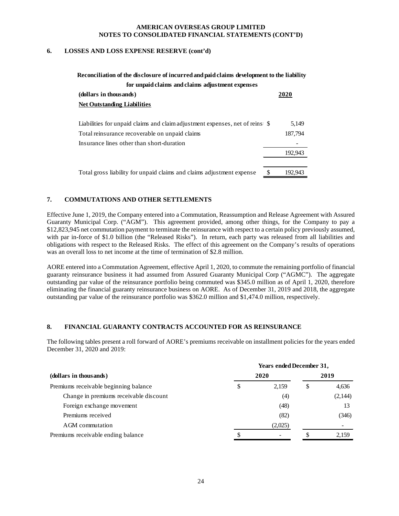#### **6. LOSSES AND LOSS EXPENSE RESERVE (cont'd)**

| Reconciliation of the disclosure of incurred and paid claims development to the liability |  |         |  |  |  |  |  |  |  |  |
|-------------------------------------------------------------------------------------------|--|---------|--|--|--|--|--|--|--|--|
| for unpaid claims and claims adjustment expenses                                          |  |         |  |  |  |  |  |  |  |  |
| (dollars in thousands)                                                                    |  | 2020    |  |  |  |  |  |  |  |  |
| <b>Net Outstanding Liabilities</b>                                                        |  |         |  |  |  |  |  |  |  |  |
|                                                                                           |  |         |  |  |  |  |  |  |  |  |
|                                                                                           |  | 5,149   |  |  |  |  |  |  |  |  |
| Total reinsurance recoverable on unpaid claims                                            |  | 187,794 |  |  |  |  |  |  |  |  |
| Insurance lines other than short-duration                                                 |  |         |  |  |  |  |  |  |  |  |
|                                                                                           |  | 192,943 |  |  |  |  |  |  |  |  |
|                                                                                           |  |         |  |  |  |  |  |  |  |  |
| Total gross liability for unpaid claims and claims adjustment expense                     |  | 192,943 |  |  |  |  |  |  |  |  |

# **7. COMMUTATIONS AND OTHER SETTLEMENTS**

Effective June 1, 2019, the Company entered into a Commutation, Reassumption and Release Agreement with Assured Guaranty Municipal Corp. ("AGM"). This agreement provided, among other things, for the Company to pay a \$12,823,945 net commutation payment to terminate the reinsurance with respect to a certain policy previously assumed, with par in-force of \$1.0 billion (the "Released Risks"). In return, each party was released from all liabilities and obligations with respect to the Released Risks. The effect of this agreement on the Company's results of operations was an overall loss to net income at the time of termination of \$2.8 million.

AORE entered into a Commutation Agreement, effective April 1, 2020, to commute the remaining portfolio of financial guaranty reinsurance business it had assumed from Assured Guaranty Municipal Corp ("AGMC"). The aggregate outstanding par value of the reinsurance portfolio being commuted was \$345.0 million as of April 1, 2020, therefore eliminating the financial guaranty reinsurance business on AORE. As of December 31, 2019 and 2018, the aggregate outstanding par value of the reinsurance portfolio was \$362.0 million and \$1,474.0 million, respectively.

# **8. FINANCIAL GUARANTY CONTRACTS ACCOUNTED FOR AS REINSURANCE**

The following tables present a roll forward of AORE's premiums receivable on installment policies for the years ended December 31, 2020 and 2019:

|                                        | <b>Years ended December 31,</b> |             |
|----------------------------------------|---------------------------------|-------------|
| (dollars in thousands)                 | 2020                            | 2019        |
| Premiums receivable beginning balance  | \$<br>2.159                     | \$<br>4,636 |
| Change in premiums receivable discount | (4)                             | (2,144)     |
| Foreign exchange movement              | (48)                            | 13          |
| Premiums received                      | (82)                            | (346)       |
| AGM commutation                        | (2,025)                         |             |
| Premiums receivable ending balance     |                                 | 2,159       |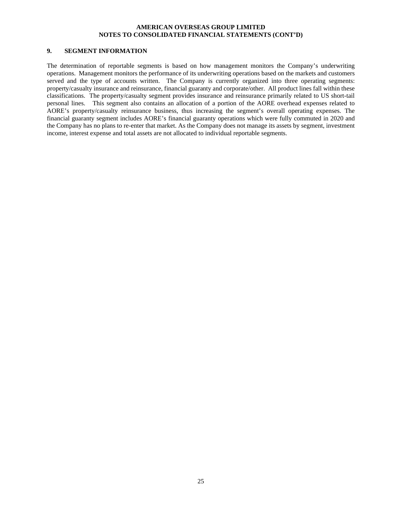# **9. SEGMENT INFORMATION**

The determination of reportable segments is based on how management monitors the Company's underwriting operations. Management monitors the performance of its underwriting operations based on the markets and customers served and the type of accounts written. The Company is currently organized into three operating segments: property/casualty insurance and reinsurance, financial guaranty and corporate/other. All product lines fall within these classifications. The property/casualty segment provides insurance and reinsurance primarily related to US short-tail personal lines. This segment also contains an allocation of a portion of the AORE overhead expenses related to AORE's property/casualty reinsurance business, thus increasing the segment's overall operating expenses. The financial guaranty segment includes AORE's financial guaranty operations which were fully commuted in 2020 and the Company has no plans to re-enter that market. As the Company does not manage its assets by segment, investment income, interest expense and total assets are not allocated to individual reportable segments.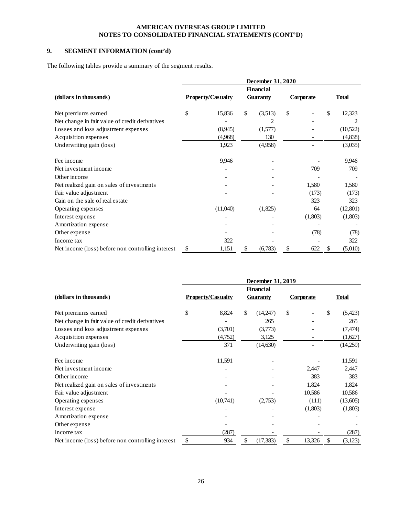# **9. SEGMENT INFORMATION (cont'd)**

The following tables provide a summary of the segment results.

|                                                   | December 31, 2020<br><b>Financial</b> |          |                 |         |                  |         |     |              |  |  |  |
|---------------------------------------------------|---------------------------------------|----------|-----------------|---------|------------------|---------|-----|--------------|--|--|--|
|                                                   |                                       |          |                 |         |                  |         |     |              |  |  |  |
| (dollars in thousands)                            | <b>Property/Casualty</b>              |          | <b>Guaranty</b> |         | <b>Corporate</b> |         |     | <b>Total</b> |  |  |  |
| Net premiums earned                               | \$                                    | 15,836   | \$              | (3,513) | \$               |         | \$. | 12,323       |  |  |  |
| Net change in fair value of credit derivatives    |                                       |          |                 | 2       |                  |         |     | 2            |  |  |  |
| Losses and loss adjustment expenses               |                                       | (8,945)  |                 | (1,577) |                  |         |     | (10,522)     |  |  |  |
| Acquisition expenses                              |                                       | (4,968)  |                 | 130     |                  |         |     | (4,838)      |  |  |  |
| Underwriting gain (loss)                          |                                       | 1,923    |                 | (4,958) |                  |         |     | (3,035)      |  |  |  |
| Fee income                                        |                                       | 9,946    |                 |         |                  |         |     | 9,946        |  |  |  |
| Net investment income                             |                                       |          |                 |         |                  | 709     |     | 709          |  |  |  |
| Other income                                      |                                       |          |                 |         |                  |         |     |              |  |  |  |
| Net realized gain on sales of investments         |                                       |          |                 |         |                  | 1,580   |     | 1,580        |  |  |  |
| Fair value adjustment                             |                                       |          |                 |         |                  | (173)   |     | (173)        |  |  |  |
| Gain on the sale of real estate                   |                                       |          |                 |         |                  | 323     |     | 323          |  |  |  |
| Operating expenses                                |                                       | (11,040) |                 | (1,825) |                  | 64      |     | (12, 801)    |  |  |  |
| Interest expense                                  |                                       |          |                 |         |                  | (1,803) |     | (1,803)      |  |  |  |
| Amortization expense                              |                                       |          |                 |         |                  |         |     |              |  |  |  |
| Other expense                                     |                                       |          |                 |         |                  | (78)    |     | (78)         |  |  |  |
| Income tax                                        |                                       | 322      |                 |         |                  |         |     | 322          |  |  |  |
| Net income (loss) before non controlling interest | \$                                    | 1,151    | \$              | (6,783) | \$               | 622     | \$  | (5,010)      |  |  |  |

|                                                   | December 31, 2019        |          |    |                  |                  |         |    |              |  |  |  |
|---------------------------------------------------|--------------------------|----------|----|------------------|------------------|---------|----|--------------|--|--|--|
|                                                   |                          |          |    | <b>Financial</b> |                  |         |    |              |  |  |  |
| (dollars in thousands)                            | <b>Property/Casualty</b> |          |    | <b>Guaranty</b>  | <b>Corporate</b> |         |    | <b>Total</b> |  |  |  |
| Net premiums earned                               | \$                       | 8,824    | \$ | (14,247)         | \$               |         | \$ | (5,423)      |  |  |  |
| Net change in fair value of credit derivatives    |                          |          |    | 265              |                  |         |    | 265          |  |  |  |
| Losses and loss adjustment expenses               |                          | (3,701)  |    | (3,773)          |                  |         |    | (7, 474)     |  |  |  |
| Acquisition expenses                              |                          | (4,752)  |    | 3,125            |                  |         |    | (1,627)      |  |  |  |
| Underwriting gain (loss)                          |                          | 371      |    | (14,630)         |                  |         |    | (14,259)     |  |  |  |
| Fee income                                        |                          | 11,591   |    |                  |                  |         |    | 11,591       |  |  |  |
| Net investment income                             |                          |          |    |                  |                  | 2,447   |    | 2,447        |  |  |  |
| Other income                                      |                          |          |    |                  |                  | 383     |    | 383          |  |  |  |
| Net realized gain on sales of investments         |                          |          |    |                  |                  | 1,824   |    | 1,824        |  |  |  |
| Fair value adjustment                             |                          |          |    |                  |                  | 10,586  |    | 10,586       |  |  |  |
| Operating expenses                                |                          | (10,741) |    | (2,753)          |                  | (111)   |    | (13,605)     |  |  |  |
| Interest expense                                  |                          |          |    |                  |                  | (1,803) |    | (1,803)      |  |  |  |
| Amortization expense                              |                          |          |    |                  |                  |         |    |              |  |  |  |
| Other expense                                     |                          |          |    |                  |                  |         |    |              |  |  |  |
| Income tax                                        |                          | (287)    |    |                  |                  |         |    | (287)        |  |  |  |
| Net income (loss) before non controlling interest | \$                       | 934      | \$ | (17, 383)        | \$               | 13,326  | \$ | (3, 123)     |  |  |  |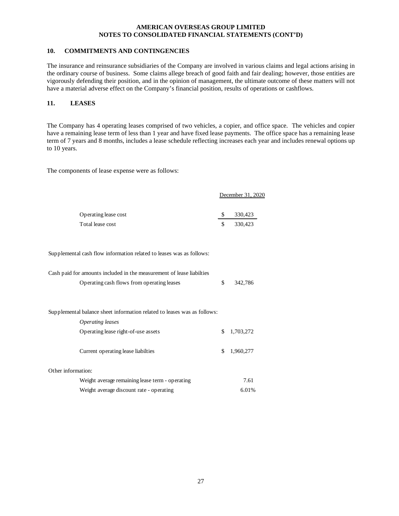# **10. COMMITMENTS AND CONTINGENCIES**

The insurance and reinsurance subsidiaries of the Company are involved in various claims and legal actions arising in the ordinary course of business. Some claims allege breach of good faith and fair dealing; however, those entities are vigorously defending their position, and in the opinion of management, the ultimate outcome of these matters will not have a material adverse effect on the Company's financial position, results of operations or cashflows.

# **11. LEASES**

The Company has 4 operating leases comprised of two vehicles, a copier, and office space. The vehicles and copier have a remaining lease term of less than 1 year and have fixed lease payments. The office space has a remaining lease term of 7 years and 8 months, includes a lease schedule reflecting increases each year and includes renewal options up to 10 years.

The components of lease expense were as follows:

|                      | December 31, 2020 |
|----------------------|-------------------|
| Operating lease cost | 330,423           |
| Total lease cost     | \$<br>330,423     |

Supplemental cash flow information related to leases was as follows:

| Cash paid for amounts included in the measurement of lease liabilties    |                 |
|--------------------------------------------------------------------------|-----------------|
| Operating cash flows from operating leases                               | \$<br>342,786   |
|                                                                          |                 |
|                                                                          |                 |
| Supplemental balance sheet information related to leases was as follows: |                 |
| Operating leases                                                         |                 |
| Operating lease right-of-use assets                                      | \$<br>1.703.272 |
|                                                                          |                 |
| Current operating lease liabilties                                       | \$<br>1,960,277 |
|                                                                          |                 |
| Other information:                                                       |                 |
| Weight average remaining lease term - operating                          | 7.61            |
| Weight average discount rate - operating                                 | 6.01%           |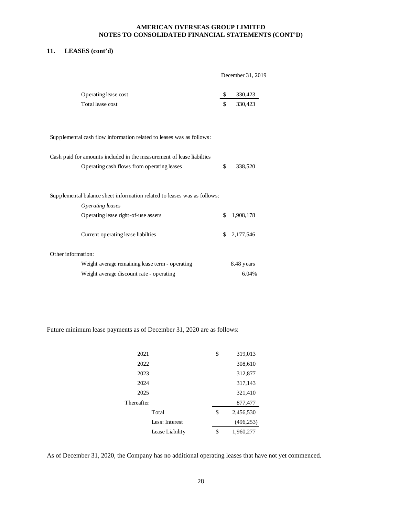# **11. LEASES (cont'd)**

December 31, 2019

| Operating lease cost | 330.423 |
|----------------------|---------|
| Total lease cost     | 330.423 |

Supplemental cash flow information related to leases was as follows:

| Cash paid for amounts included in the measurement of lease liabilties    |     |             |
|--------------------------------------------------------------------------|-----|-------------|
| Operating cash flows from operating leases                               | \$  | 338,520     |
|                                                                          |     |             |
|                                                                          |     |             |
| Supplemental balance sheet information related to leases was as follows: |     |             |
| <i><b>Operating leases</b></i>                                           |     |             |
| Operating lease right-of-use assets                                      | \$. | 1,908,178   |
|                                                                          |     |             |
| Current operating lease liabilties                                       |     | \$2,177,546 |
|                                                                          |     |             |
| Other information:                                                       |     |             |
| Weight average remaining lease term - operating                          |     | 8.48 years  |
| Weight average discount rate - operating                                 |     | 6.04%       |

Future minimum lease payments as of December 31, 2020 are as follows:

| 2021            | \$<br>319,013   |
|-----------------|-----------------|
| 2022            | 308,610         |
| 2023            | 312,877         |
| 2024            | 317,143         |
| 2025            | 321,410         |
| Thereafter      | 877,477         |
| Total           | \$<br>2,456,530 |
| Less: Interest  | (496, 253)      |
| Lease Liability | \$<br>1,960,277 |

As of December 31, 2020, the Company has no additional operating leases that have not yet commenced.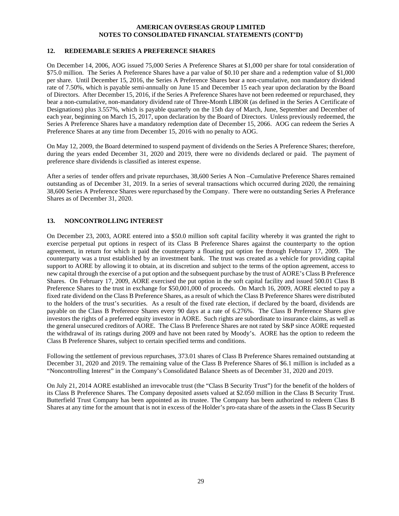# **12. REDEEMABLE SERIES A PREFERENCE SHARES**

On December 14, 2006, AOG issued 75,000 Series A Preference Shares at \$1,000 per share for total consideration of \$75.0 million. The Series A Preference Shares have a par value of \$0.10 per share and a redemption value of \$1,000 per share. Until December 15, 2016, the Series A Preference Shares bear a non-cumulative, non mandatory dividend rate of 7.50%, which is payable semi-annually on June 15 and December 15 each year upon declaration by the Board of Directors. After December 15, 2016, if the Series A Preference Shares have not been redeemed or repurchased, they bear a non-cumulative, non-mandatory dividend rate of Three-Month LIBOR (as defined in the Series A Certificate of Designations) plus 3.557%, which is payable quarterly on the 15th day of March, June, September and December of each year, beginning on March 15, 2017, upon declaration by the Board of Directors. Unless previously redeemed, the Series A Preference Shares have a mandatory redemption date of December 15, 2066. AOG can redeem the Series A Preference Shares at any time from December 15, 2016 with no penalty to AOG.

On May 12, 2009, the Board determined to suspend payment of dividends on the Series A Preference Shares; therefore, during the years ended December 31, 2020 and 2019, there were no dividends declared or paid. The payment of preference share dividends is classified as interest expense.

After a series of tender offers and private repurchases, 38,600 Series A Non –Cumulative Preference Shares remained outstanding as of December 31, 2019. In a series of several transactions which occurred during 2020, the remaining 38,600 Series A Preference Shares were repurchased by the Company. There were no outstanding Series A Preferance Shares as of December 31, 2020.

# **13. NONCONTROLLING INTEREST**

On December 23, 2003, AORE entered into a \$50.0 million soft capital facility whereby it was granted the right to exercise perpetual put options in respect of its Class B Preference Shares against the counterparty to the option agreement, in return for which it paid the counterparty a floating put option fee through February 17, 2009. The counterparty was a trust established by an investment bank. The trust was created as a vehicle for providing capital support to AORE by allowing it to obtain, at its discretion and subject to the terms of the option agreement, access to new capital through the exercise of a put option and the subsequent purchase by the trust of AORE's Class B Preference Shares. On February 17, 2009, AORE exercised the put option in the soft capital facility and issued 500.01 Class B Preference Shares to the trust in exchange for \$50,001,000 of proceeds. On March 16, 2009, AORE elected to pay a fixed rate dividend on the Class B Preference Shares, as a result of which the Class B Preference Shares were distributed to the holders of the trust's securities. As a result of the fixed rate election, if declared by the board, dividends are payable on the Class B Preference Shares every 90 days at a rate of 6.276%. The Class B Preference Shares give investors the rights of a preferred equity investor in AORE. Such rights are subordinate to insurance claims, as well as the general unsecured creditors of AORE. The Class B Preference Shares are not rated by S&P since AORE requested the withdrawal of its ratings during 2009 and have not been rated by Moody's. AORE has the option to redeem the Class B Preference Shares, subject to certain specified terms and conditions.

Following the settlement of previous repurchases, 373.01 shares of Class B Preference Shares remained outstanding at December 31, 2020 and 2019. The remaining value of the Class B Preference Shares of \$6.1 million is included as a "Noncontrolling Interest" in the Company's Consolidated Balance Sheets as of December 31, 2020 and 2019.

On July 21, 2014 AORE established an irrevocable trust (the "Class B Security Trust") for the benefit of the holders of its Class B Preference Shares. The Company deposited assets valued at \$2.050 million in the Class B Security Trust. Butterfield Trust Company has been appointed as its trustee. The Company has been authorized to redeem Class B Shares at any time for the amount that is not in excess of the Holder's pro-rata share of the assets in the Class B Security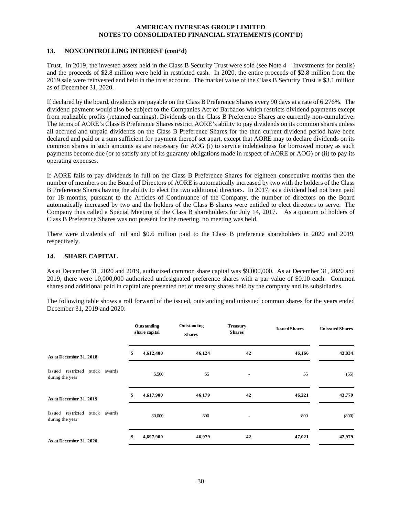#### **13. NONCONTROLLING INTEREST (cont'd)**

Trust. In 2019, the invested assets held in the Class B Security Trust were sold (see Note 4 – Investments for details) and the proceeds of \$2.8 million were held in restricted cash. In 2020, the entire proceeds of \$2.8 million from the 2019 sale were reinvested and held in the trust account. The market value of the Class B Security Trust is \$3.1 million as of December 31, 2020.

If declared by the board, dividends are payable on the Class B Preference Shares every 90 days at a rate of 6.276%. The dividend payment would also be subject to the Companies Act of Barbados which restricts dividend payments except from realizable profits (retained earnings). Dividends on the Class B Preference Shares are currently non-cumulative. The terms of AORE's Class B Preference Shares restrict AORE's ability to pay dividends on its common shares unless all accrued and unpaid dividends on the Class B Preference Shares for the then current dividend period have been declared and paid or a sum sufficient for payment thereof set apart, except that AORE may to declare dividends on its common shares in such amounts as are necessary for AOG (i) to service indebtedness for borrowed money as such payments become due (or to satisfy any of its guaranty obligations made in respect of AORE or AOG) or (ii) to pay its operating expenses.

If AORE fails to pay dividends in full on the Class B Preference Shares for eighteen consecutive months then the number of members on the Board of Directors of AORE is automatically increased by two with the holders of the Class B Preference Shares having the ability to elect the two additional directors. In 2017, as a dividend had not been paid for 18 months, pursuant to the Articles of Continuance of the Company, the number of directors on the Board automatically increased by two and the holders of the Class B shares were entitled to elect directors to serve. The Company thus called a Special Meeting of the Class B shareholders for July 14, 2017. As a quorum of holders of Class B Preference Shares was not present for the meeting, no meeting was held.

There were dividends of nil and \$0.6 million paid to the Class B preference shareholders in 2020 and 2019, respectively.

# **14. SHARE CAPITAL**

As at December 31, 2020 and 2019, authorized common share capital was \$9,000,000. As at December 31, 2020 and 2019, there were 10,000,000 authorized undesignated preference shares with a par value of \$0.10 each. Common shares and additional paid in capital are presented net of treasury shares held by the company and its subsidiaries.

The following table shows a roll forward of the issued, outstanding and unissued common shares for the years ended December 31, 2019 and 2020:

|                                                      | Outstanding<br>share capital | Outstanding<br><b>Shares</b> | <b>Treasury</b><br><b>Shares</b> | <b>Issued Shares</b> | <b>Unissued Shares</b> |
|------------------------------------------------------|------------------------------|------------------------------|----------------------------------|----------------------|------------------------|
| As at December 31, 2018                              | \$<br>4,612,400              | 46,124                       | 42                               | 46,166               | 43,834                 |
| Issued restricted<br>stock awards<br>during the year | 5,500                        | 55                           | $\overline{\phantom{a}}$         | 55                   | (55)                   |
| As at December 31, 2019                              | \$<br>4,617,900              | 46,179                       | 42                               | 46,221               | 43,779                 |
| Issued restricted<br>stock awards<br>during the year | 80,000                       | 800                          |                                  | 800                  | (800)                  |
| As at December 31, 2020                              | \$<br>4,697,900              | 46,979                       | 42                               | 47,021               | 42,979                 |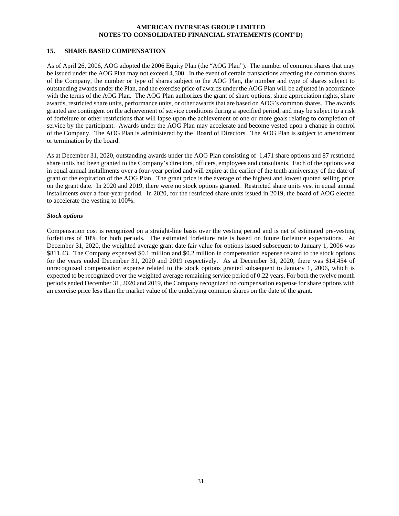#### **15. SHARE BASED COMPENSATION**

As of April 26, 2006, AOG adopted the 2006 Equity Plan (the "AOG Plan"). The number of common shares that may be issued under the AOG Plan may not exceed 4,500. In the event of certain transactions affecting the common shares of the Company, the number or type of shares subject to the AOG Plan, the number and type of shares subject to outstanding awards under the Plan, and the exercise price of awards under the AOG Plan will be adjusted in accordance with the terms of the AOG Plan. The AOG Plan authorizes the grant of share options, share appreciation rights, share awards, restricted share units, performance units, or other awards that are based on AOG's common shares. The awards granted are contingent on the achievement of service conditions during a specified period, and may be subject to a risk of forfeiture or other restrictions that will lapse upon the achievement of one or more goals relating to completion of service by the participant. Awards under the AOG Plan may accelerate and become vested upon a change in control of the Company. The AOG Plan is administered by the Board of Directors. The AOG Plan is subject to amendment or termination by the board.

As at December 31, 2020, outstanding awards under the AOG Plan consisting of 1,471 share options and 87 restricted share units had been granted to the Company's directors, officers, employees and consultants. Each of the options vest in equal annual installments over a four-year period and will expire at the earlier of the tenth anniversary of the date of grant or the expiration of the AOG Plan. The grant price is the average of the highest and lowest quoted selling price on the grant date. In 2020 and 2019, there were no stock options granted. Restricted share units vest in equal annual installments over a four-year period. In 2020, for the restricted share units issued in 2019, the board of AOG elected to accelerate the vesting to 100%.

#### *Stock options*

Compensation cost is recognized on a straight-line basis over the vesting period and is net of estimated pre-vesting forfeitures of 10% for both periods. The estimated forfeiture rate is based on future forfeiture expectations. At December 31, 2020, the weighted average grant date fair value for options issued subsequent to January 1, 2006 was \$811.43. The Company expensed \$0.1 million and \$0.2 million in compensation expense related to the stock options for the years ended December 31, 2020 and 2019 respectively. As at December 31, 2020, there was \$14,454 of unrecognized compensation expense related to the stock options granted subsequent to January 1, 2006, which is expected to be recognized over the weighted average remaining service period of 0.22 years. For both the twelve month periods ended December 31, 2020 and 2019, the Company recognized no compensation expense for share options with an exercise price less than the market value of the underlying common shares on the date of the grant.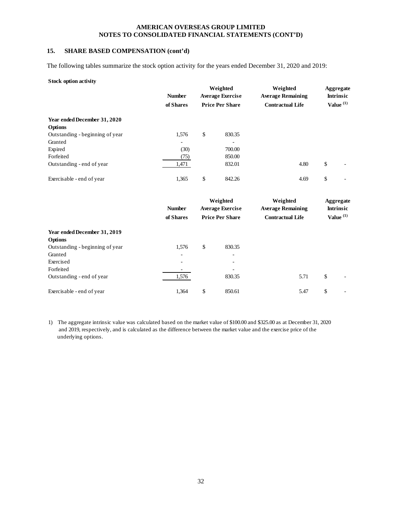# **15. SHARE BASED COMPENSATION (cont'd)**

The following tables summarize the stock option activity for the years ended December 31, 2020 and 2019:

#### **Stock option activity**

**Year ended December 31, 2019**

Outstanding - beginning of year 1,576 \$ 830.35 Granted **Contract Contract Contract Contract Contract Contract Contract Contract Contract Contract Contract Contract Contract Contract Contract Contract Contract Contract Contract Contract Contract Contract Contract Contra** Exercised - -

**Options**

Forfeited

|                                 | <b>Number</b>                | Weighted<br><b>Average Exercise</b> | Weighted<br><b>Average Remaining</b> | Aggregate<br><b>Intrinsic</b> |  |
|---------------------------------|------------------------------|-------------------------------------|--------------------------------------|-------------------------------|--|
|                                 | of Shares                    | <b>Price Per Share</b>              | <b>Contractual Life</b>              | Value $(1)$                   |  |
| Year ended December 31, 2020    |                              |                                     |                                      |                               |  |
| <b>Options</b>                  |                              |                                     |                                      |                               |  |
| Outstanding - beginning of year | 1,576                        | \$<br>830.35                        |                                      |                               |  |
| Granted                         | $\qquad \qquad \blacksquare$ |                                     |                                      |                               |  |
| Expired                         | (30)                         | 700.00                              |                                      |                               |  |
| Forfeited                       | (75)                         | 850.00                              |                                      |                               |  |
| Outstanding - end of year       | 1,471                        | 832.01                              | 4.80                                 | \$                            |  |
| Exercisable - end of year       | 1,365                        | \$<br>842.26                        | 4.69                                 | \$                            |  |
|                                 |                              | Weighted                            | Weighted                             | Aggregate                     |  |
|                                 | <b>Number</b>                | <b>Average Exercise</b>             | <b>Average Remaining</b>             | <b>Intrinsic</b>              |  |
|                                 | of Shares                    | <b>Price Per Share</b>              | <b>Contractual Life</b>              | Value $(1)$                   |  |

1) The aggregate intrinsic value was calculated based on the market value of \$100.00 and \$325.00 as at December 31, 2020 and 2019, respectively, and is calculated as the difference between the market value and the exercise price of the underlying options.

Exercisable - end of year 1,364 \$ 850.61 5.47 \$

Outstanding - end of year 1,576 830.35 5.71 \$ -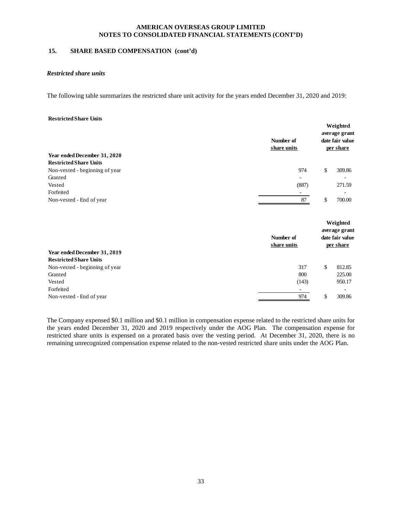# **15. SHARE BASED COMPENSATION (cont'd)**

#### *Restricted share units*

The following table summarizes the restricted share unit activity for the years ended December 31, 2020 and 2019:

#### **Restricted Share Units**

|                                | Number of<br>share units | Weighted<br>average grant<br>date fair value<br>per share |
|--------------------------------|--------------------------|-----------------------------------------------------------|
| Year ended December 31, 2020   |                          |                                                           |
| <b>Restricted Share Units</b>  |                          |                                                           |
| Non-vested - beginning of year | 974                      | \$<br>309.86                                              |
| Granted                        |                          |                                                           |
| Vested                         | (887)                    | 271.59                                                    |
| Forfeited                      | -                        |                                                           |
| Non-vested - End of year       | 87                       | \$<br>700.00                                              |
|                                | Number of                | Weighted<br>average grant<br>date fair value              |
|                                | share units              | per share                                                 |
| Year ended December 31, 2019   |                          |                                                           |
| <b>Restricted Share Units</b>  |                          |                                                           |
| Non-vested - beginning of year | 317                      | \$<br>812.85                                              |
| Granted                        | 800                      | 225.00                                                    |
| Vested                         | (143)                    | 950.17                                                    |
| Forfeited                      |                          | ۰                                                         |
| Non-vested - End of year       | 974                      | \$<br>309.86                                              |

The Company expensed \$0.1 million and \$0.1 million in compensation expense related to the restricted share units for the years ended December 31, 2020 and 2019 respectively under the AOG Plan. The compensation expense for restricted share units is expensed on a prorated basis over the vesting period. At December 31, 2020, there is no remaining unrecognized compensation expense related to the non-vested restricted share units under the AOG Plan.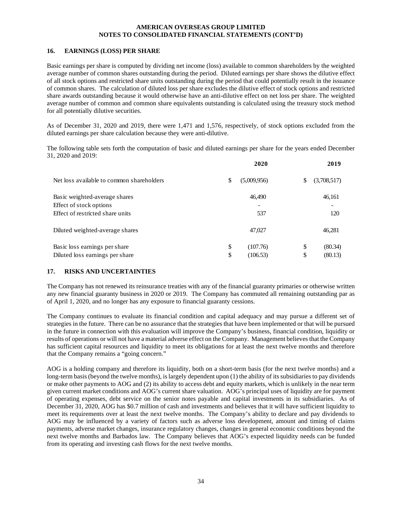# **16. EARNINGS (LOSS) PER SHARE**

Basic earnings per share is computed by dividing net income (loss) available to common shareholders by the weighted average number of common shares outstanding during the period. Diluted earnings per share shows the dilutive effect of all stock options and restricted share units outstanding during the period that could potentially result in the issuance of common shares. The calculation of diluted loss per share excludes the dilutive effect of stock options and restricted share awards outstanding because it would otherwise have an anti-dilutive effect on net loss per share. The weighted average number of common and common share equivalents outstanding is calculated using the treasury stock method for all potentially dilutive securities.

As of December 31, 2020 and 2019, there were 1,471 and 1,576, respectively, of stock options excluded from the diluted earnings per share calculation because they were anti-dilutive.

The following table sets forth the computation of basic and diluted earnings per share for the years ended December 31, 2020 and 2019:

|                                           | 2020              | 2019 |             |  |
|-------------------------------------------|-------------------|------|-------------|--|
| Net loss available to common shareholders | \$<br>(5,009,956) | S    | (3,708,517) |  |
| Basic weighted-average shares             | 46,490            |      | 46,161      |  |
| Effect of stock options                   |                   |      |             |  |
| Effect of restricted share units          | 537               |      | 120         |  |
| Diluted weighted-average shares           | 47,027            |      | 46,281      |  |
| Basic loss earnings per share             | \$<br>(107.76)    | \$   | (80.34)     |  |
| Diluted loss earnings per share           | \$<br>(106.53)    | \$   | (80.13)     |  |

# **17. RISKS AND UNCERTAINTIES**

The Company has not renewed its reinsurance treaties with any of the financial guaranty primaries or otherwise written any new financial guaranty business in 2020 or 2019. The Company has commuted all remaining outstanding par as of April 1, 2020, and no longer has any exposure to financial guaranty cessions.

The Company continues to evaluate its financial condition and capital adequacy and may pursue a different set of strategies in the future. There can be no assurance that the strategies that have been implemented or that will be pursued in the future in connection with this evaluation will improve the Company's business, financial condition, liquidity or results of operations or will not have a material adverse effect on the Company. Management believes that the Company has sufficient capital resources and liquidity to meet its obligations for at least the next twelve months and therefore that the Company remains a "going concern."

AOG is a holding company and therefore its liquidity, both on a short-term basis (for the next twelve months) and a long-term basis (beyond the twelve months), is largely dependent upon (1) the ability of its subsidiaries to pay dividends or make other payments to AOG and (2) its ability to access debt and equity markets, which is unlikely in the near term given current market conditions and AOG's current share valuation. AOG's principal uses of liquidity are for payment of operating expenses, debt service on the senior notes payable and capital investments in its subsidiaries. As of December 31, 2020, AOG has \$0.7 million of cash and investments and believes that it will have sufficient liquidity to meet its requirements over at least the next twelve months. The Company's ability to declare and pay dividends to AOG may be influenced by a variety of factors such as adverse loss development, amount and timing of claims payments, adverse market changes, insurance regulatory changes, changes in general economic conditions beyond the next twelve months and Barbados law. The Company believes that AOG's expected liquidity needs can be funded from its operating and investing cash flows for the next twelve months.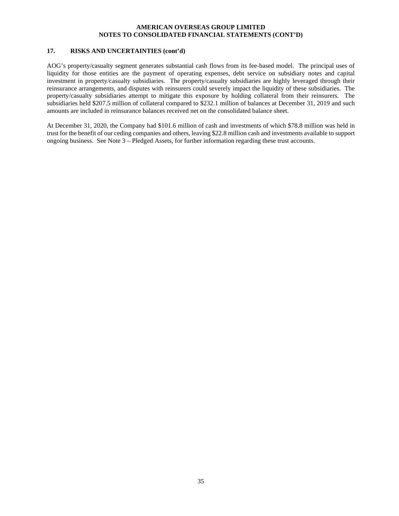# **17. RISKS AND UNCERTAINTIES (cont'd)**

AOG's property/casualty segment generates substantial cash flows from its fee-based model. The principal uses of liquidity for those entities are the payment of operating expenses, debt service on subsidiary notes and capital investment in property/casualty subsidiaries. The property/casualty subsidiaries are highly leveraged through their reinsurance arrangements, and disputes with reinsurers could severely impact the liquidity of these subsidiaries. The property/casualty subsidiaries attempt to mitigate this exposure by holding collateral from their reinsurers. The subsidiaries held \$207.5 million of collateral compared to \$232.1 million of balances at December 31, 2019 and such amounts are included in reinsurance balances received net on the consolidated balance sheet.

At December 31, 2020, the Company had \$101.6 million of cash and investments of which \$78.8 million was held in trust for the benefit of our ceding companies and others, leaving \$22.8 million cash and investments available to support ongoing business. See Note 3 – Pledged Assets, for further information regarding these trust accounts.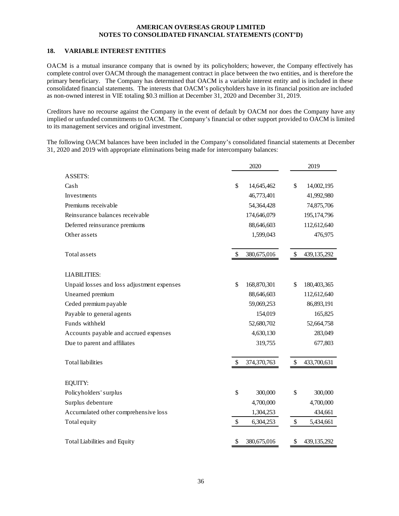# **18. VARIABLE INTEREST ENTITIES**

OACM is a mutual insurance company that is owned by its policyholders; however, the Company effectively has complete control over OACM through the management contract in place between the two entities, and is therefore the primary beneficiary. The Company has determined that OACM is a variable interest entity and is included in these consolidated financial statements. The interests that OACM's policyholders have in its financial position are included as non-owned interest in VIE totaling \$0.3 million at December 31, 2020 and December 31, 2019.

Creditors have no recourse against the Company in the event of default by OACM nor does the Company have any implied or unfunded commitments to OACM. The Company's financial or other support provided to OACM is limited to its management services and original investment.

The following OACM balances have been included in the Company's consolidated financial statements at December 31, 2020 and 2019 with appropriate eliminations being made for intercompany balances:

|                                            | 2020              | 2019                |
|--------------------------------------------|-------------------|---------------------|
| ASSETS:                                    |                   |                     |
| Cash                                       | \$<br>14,645,462  | \$<br>14,002,195    |
| Investments                                | 46,773,401        | 41,992,980          |
| Premiums receivable                        | 54,364,428        | 74,875,706          |
| Reinsurance balances receivable            | 174,646,079       | 195,174,796         |
| Deferred reinsurance premiums              | 88,646,603        | 112,612,640         |
| Other assets                               | 1,599,043         | 476,975             |
|                                            |                   |                     |
| Total assets                               | \$<br>380,675,016 | \$<br>439, 135, 292 |
| <b>LIABILITIES:</b>                        |                   |                     |
| Unpaid losses and loss adjustment expenses | \$<br>168,870,301 | \$<br>180,403,365   |
| Unearned premium                           | 88,646,603        | 112,612,640         |
| Ceded premium payable                      | 59,069,253        | 86,893,191          |
| Payable to general agents                  | 154,019           | 165,825             |
| Funds withheld                             | 52,680,702        | 52,664,758          |
| Accounts payable and accrued expenses      | 4,630,130         | 283,049             |
| Due to parent and affiliates               | 319,755           | 677,803             |
|                                            |                   |                     |
| <b>Total</b> liabilities                   | \$<br>374,370,763 | \$<br>433,700,631   |
|                                            |                   |                     |
| EQUITY:                                    |                   |                     |
| Policyholders' surplus                     | \$<br>300,000     | \$<br>300,000       |
| Surplus debenture                          | 4,700,000         | 4,700,000           |
| Accumulated other comprehensive loss       | 1,304,253         | 434,661             |
| Total equity                               | \$<br>6,304,253   | \$<br>5,434,661     |
|                                            |                   |                     |
| <b>Total Liabilities and Equity</b>        | \$<br>380,675,016 | \$<br>439,135,292   |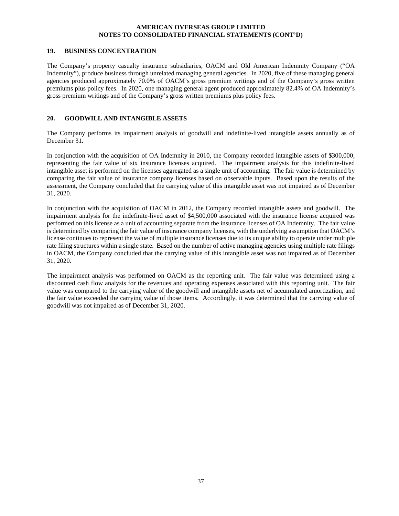#### **19. BUSINESS CONCENTRATION**

The Company's property casualty insurance subsidiaries, OACM and Old American Indemnity Company ("OA Indemnity"), produce business through unrelated managing general agencies. In 2020, five of these managing general agencies produced approximately 70.0% of OACM's gross premium writings and of the Company's gross written premiums plus policy fees. In 2020, one managing general agent produced approximately 82.4% of OA Indemnity's gross premium writings and of the Company's gross written premiums plus policy fees.

# **20. GOODWILL AND INTANGIBLE ASSETS**

The Company performs its impairment analysis of goodwill and indefinite-lived intangible assets annually as of December 31.

In conjunction with the acquisition of OA Indemnity in 2010, the Company recorded intangible assets of \$300,000, representing the fair value of six insurance licenses acquired. The impairment analysis for this indefinite-lived intangible asset is performed on the licenses aggregated as a single unit of accounting. The fair value is determined by comparing the fair value of insurance company licenses based on observable inputs. Based upon the results of the assessment, the Company concluded that the carrying value of this intangible asset was not impaired as of December 31, 2020.

In conjunction with the acquisition of OACM in 2012, the Company recorded intangible assets and goodwill. The impairment analysis for the indefinite-lived asset of \$4,500,000 associated with the insurance license acquired was performed on this license as a unit of accounting separate from the insurance licenses of OA Indemnity. The fair value is determined by comparing the fair value of insurance company licenses, with the underlying assumption that OACM's license continues to represent the value of multiple insurance licenses due to its unique ability to operate under multiple rate filing structures within a single state. Based on the number of active managing agencies using multiple rate filings in OACM, the Company concluded that the carrying value of this intangible asset was not impaired as of December 31, 2020.

The impairment analysis was performed on OACM as the reporting unit. The fair value was determined using a discounted cash flow analysis for the revenues and operating expenses associated with this reporting unit. The fair value was compared to the carrying value of the goodwill and intangible assets net of accumulated amortization, and the fair value exceeded the carrying value of those items. Accordingly, it was determined that the carrying value of goodwill was not impaired as of December 31, 2020.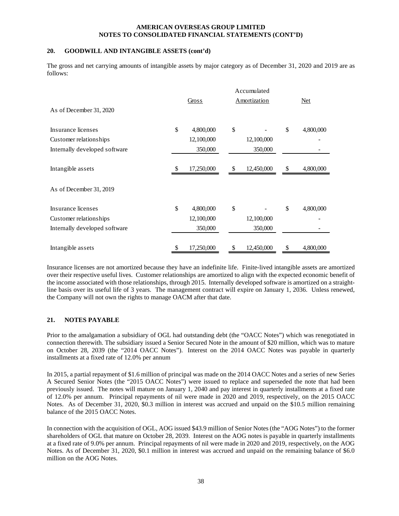# **20. GOODWILL AND INTANGIBLE ASSETS (cont'd)**

The gross and net carrying amounts of intangible assets by major category as of December 31, 2020 and 2019 are as follows:

|                               |       | Accumulated |               |              |            |           |  |  |
|-------------------------------|-------|-------------|---------------|--------------|------------|-----------|--|--|
|                               | Gross |             |               | Amortization | <b>Net</b> |           |  |  |
| As of December 31, 2020       |       |             |               |              |            |           |  |  |
| Insurance licenses            | \$    | 4,800,000   | \$            |              | \$         | 4,800,000 |  |  |
| Customer relationships        |       | 12,100,000  |               | 12,100,000   |            |           |  |  |
| Internally developed software |       | 350,000     |               | 350,000      |            |           |  |  |
| Intangible assets             | \$    | 17,250,000  | <sup>\$</sup> | 12,450,000   | \$         | 4,800,000 |  |  |
| As of December 31, 2019       |       |             |               |              |            |           |  |  |
| Insurance licenses            | \$    | 4,800,000   | \$            |              | \$         | 4,800,000 |  |  |
| Customer relationships        |       | 12,100,000  |               | 12,100,000   |            |           |  |  |
| Internally developed software |       | 350,000     |               | 350,000      |            |           |  |  |
| Intangible assets             | \$    | 17,250,000  | \$            | 12,450,000   | \$         | 4,800,000 |  |  |

Insurance licenses are not amortized because they have an indefinite life. Finite-lived intangible assets are amortized over their respective useful lives. Customer relationships are amortized to align with the expected economic benefit of the income associated with those relationships, through 2015. Internally developed software is amortized on a straightline basis over its useful life of 3 years. The management contract will expire on January 1, 2036. Unless renewed, the Company will not own the rights to manage OACM after that date.

# **21. NOTES PAYABLE**

Prior to the amalgamation a subsidiary of OGL had outstanding debt (the "OACC Notes") which was renegotiated in connection therewith. The subsidiary issued a Senior Secured Note in the amount of \$20 million, which was to mature on October 28, 2039 (the "2014 OACC Notes"). Interest on the 2014 OACC Notes was payable in quarterly installments at a fixed rate of 12.0% per annum

In 2015, a partial repayment of \$1.6 million of principal was made on the 2014 OACC Notes and a series of new Series A Secured Senior Notes (the "2015 OACC Notes") were issued to replace and superseded the note that had been previously issued. The notes will mature on January 1, 2040 and pay interest in quarterly installments at a fixed rate of 12.0% per annum. Principal repayments of nil were made in 2020 and 2019, respectively, on the 2015 OACC Notes. As of December 31, 2020, \$0.3 million in interest was accrued and unpaid on the \$10.5 million remaining balance of the 2015 OACC Notes.

In connection with the acquisition of OGL, AOG issued \$43.9 million of Senior Notes (the "AOG Notes") to the former shareholders of OGL that mature on October 28, 2039. Interest on the AOG notes is payable in quarterly installments at a fixed rate of 9.0% per annum. Principal repayments of nil were made in 2020 and 2019, respectively, on the AOG Notes. As of December 31, 2020, \$0.1 million in interest was accrued and unpaid on the remaining balance of \$6.0 million on the AOG Notes.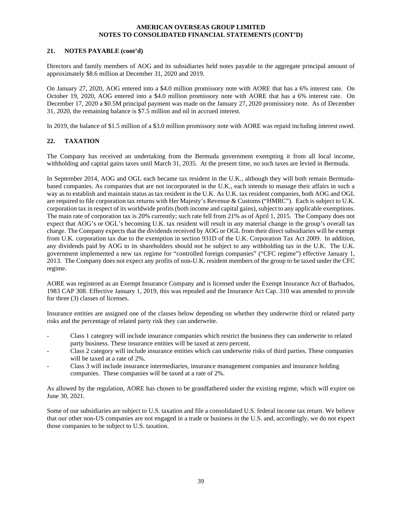# **21. NOTES PAYABLE (cont'd)**

Directors and family members of AOG and its subsidiaries held notes payable in the aggregate principal amount of approximately \$8.6 million at December 31, 2020 and 2019.

On January 27, 2020, AOG entered into a \$4.0 million promissory note with AORE that has a 6% interest rate. On October 19, 2020, AOG entered into a \$4.0 million promissory note with AORE that has a 6% interest rate. On December 17, 2020 a \$0.5M principal payment was made on the January 27, 2020 promissiory note. As of December 31, 2020, the remaining balance is \$7.5 million and nil in accrued interest.

In 2019, the balance of \$1.5 million of a \$3.0 million promissory note with AORE was repaid including interest owed.

# **22. TAXATION**

The Company has received an undertaking from the Bermuda government exempting it from all local income, withholding and capital gains taxes until March 31, 2035. At the present time, no such taxes are levied in Bermuda.

In September 2014, AOG and OGL each became tax resident in the U.K., although they will both remain Bermudabased companies. As companies that are not incorporated in the U.K., each intends to manage their affairs in such a way as to establish and maintain status as tax resident in the U.K. As U.K. tax resident companies, both AOG and OGL are required to file corporation tax returns with Her Majesty's Revenue & Customs ("HMRC"). Each is subject to U.K. corporation tax in respect of its worldwide profits (both income and capital gains), subject to any applicable exemptions. The main rate of corporation tax is 20% currently; such rate fell from 21% as of April 1, 2015. The Company does not expect that AOG's or OGL's becoming U.K. tax resident will result in any material change in the group's overall tax charge. The Company expects that the dividends received by AOG or OGL from their direct subsidiaries will be exempt from U.K. corporation tax due to the exemption in section 931D of the U.K. Corporation Tax Act 2009. In addition, any dividends paid by AOG to its shareholders should not be subject to any withholding tax in the U.K. The U.K. government implemented a new tax regime for "controlled foreign companies" ("CFC regime") effective January 1, 2013. The Company does not expect any profits of non-U.K. resident members of the group to be taxed under the CFC regime.

AORE was registered as an Exempt Insurance Company and is licensed under the Exempt Insurance Act of Barbados, 1983 CAP 308. Effective January 1, 2019, this was repealed and the Insurance Act Cap. 310 was amended to provide for three (3) classes of licenses.

Insurance entities are assigned one of the classes below depending on whether they underwrite third or related party risks and the percentage of related party risk they can underwrite.

- Class 1 category will include insurance companies which restrict the business they can underwrite to related party business. These insurance entities will be taxed at zero percent.
- Class 2 category will include insurance entities which can underwrite risks of third parties. These companies will be taxed at a rate of 2%.
- Class 3 will include insurance intermediaries, insurance management companies and insurance holding companies. These companies will be taxed at a rate of 2%.

As allowed by the regulation, AORE has chosen to be grandfathered under the existing regime, which will expire on June 30, 2021.

Some of our subsidiaries are subject to U.S. taxation and file a consolidated U.S. federal income tax return. We believe that our other non-US companies are not engaged in a trade or business in the U.S. and, accordingly, we do not expect those companies to be subject to U.S. taxation.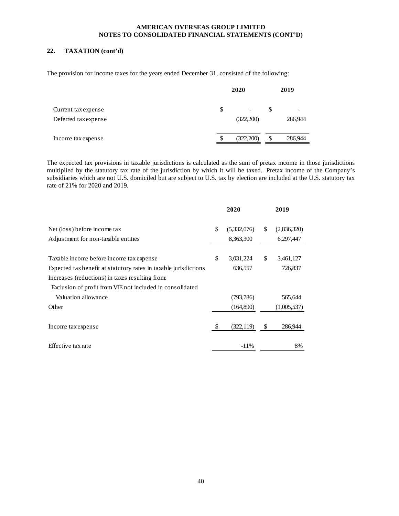# **22. TAXATION (cont'd)**

The provision for income taxes for the years ended December 31, consisted of the following:

|                                             | 2020 |                                       |    | 2019         |  |  |
|---------------------------------------------|------|---------------------------------------|----|--------------|--|--|
| Current tax expense<br>Deferred tax expense | \$.  | $\overline{\phantom{a}}$<br>(322,200) | \$ | -<br>286,944 |  |  |
| Income tax expense                          | S    | (322,200)                             | \$ | 286,944      |  |  |

The expected tax provisions in taxable jurisdictions is calculated as the sum of pretax income in those jurisdictions multiplied by the statutory tax rate of the jurisdiction by which it will be taxed. Pretax income of the Company's subsidiaries which are not U.S. domiciled but are subject to U.S. tax by election are included at the U.S. statutory tax rate of 21% for 2020 and 2019.

|                                                                  | 2020              | 2019              |
|------------------------------------------------------------------|-------------------|-------------------|
| Net (loss) before income tax                                     | \$<br>(5,332,076) | \$<br>(2,836,320) |
| Adjustment for non-taxable entities                              | 8,363,300         | 6,297,447         |
| Taxable income before income tax expense                         | \$<br>3,031,224   | \$<br>3,461,127   |
| Expected tax benefit at statutory rates in taxable jurisdictions | 636,557           | 726,837           |
| Increases (reductions) in taxes resulting from:                  |                   |                   |
| Exclusion of profit from VIE not included in consolidated        |                   |                   |
| Valuation allowance                                              | (793, 786)        | 565,644           |
| Other                                                            | (164,890)         | (1,005,537)       |
|                                                                  |                   |                   |
| Income tax expense                                               | \$<br>(322, 119)  | \$<br>286,944     |
| Effective tax rate                                               | $-11\%$           | 8%                |
|                                                                  |                   |                   |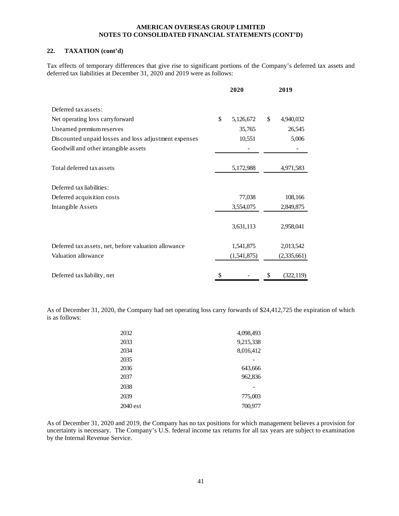# **22. TAXATION (cont'd)**

Tax effects of temporary differences that give rise to significant portions of the Company's deferred tax assets and deferred tax liabilities at December 31, 2020 and 2019 were as follows:

|                                                       | 2020            | 2019             |
|-------------------------------------------------------|-----------------|------------------|
| Deferred tax assets:                                  |                 |                  |
| Net operating loss carryforward                       | \$<br>5,126,672 | \$<br>4,940,032  |
| Unearned premium reserves                             | 35,765          | 26,545           |
| Discounted unpaid losses and loss adjustment expenses | 10,551          | 5,006            |
| Goodwill and other intangible assets                  |                 |                  |
| Total deferred tax assets                             | 5,172,988       | 4,971,583        |
| Deferred tax liabilities:                             |                 |                  |
| Deferred acquisition costs                            | 77,038          | 108,166          |
| Intangible Assets                                     | 3,554,075       | 2,849,875        |
|                                                       | 3,631,113       | 2,958,041        |
| Deferred tax assets, net, before valuation allowance  | 1,541,875       | 2,013,542        |
| Valuation allowance                                   | (1,541,875)     | (2,335,661)      |
| Deferred tax liability, net                           | \$              | \$<br>(322, 119) |

As of December 31, 2020, the Company had net operating loss carry forwards of \$24,412,725 the expiration of which is as follows:

| 2032     | 4,098,493 |
|----------|-----------|
| 2033     | 9,215,338 |
| 2034     | 8,016,412 |
| 2035     |           |
| 2036     | 643,666   |
| 2037     | 962,836   |
| 2038     |           |
| 2039     | 775,003   |
| 2040 est | 700,977   |

As of December 31, 2020 and 2019, the Company has no tax positions for which management believes a provision for uncertainty is necessary. The Company's U.S. federal income tax returns for all tax years are subject to examination by the Internal Revenue Service.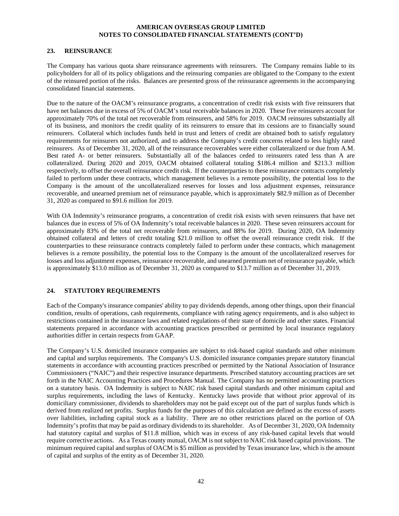#### **23. REINSURANCE**

The Company has various quota share reinsurance agreements with reinsurers. The Company remains liable to its policyholders for all of its policy obligations and the reinsuring companies are obligated to the Company to the extent of the reinsured portion of the risks. Balances are presented gross of the reinsurance agreements in the accompanying consolidated financial statements.

Due to the nature of the OACM's reinsurance programs, a concentration of credit risk exists with five reinsurers that have net balances due in excess of 5% of OACM's total receivable balances in 2020. These five reinsurers account for approximately 70% of the total net recoverable from reinsurers, and 58% for 2019. OACM reinsures substantially all of its business, and monitors the credit quality of its reinsurers to ensure that its cessions are to financially sound reinsurers. Collateral which includes funds held in trust and letters of credit are obtained both to satisfy regulatory requirements for reinsurers not authorized, and to address the Company's credit concerns related to less highly rated reinsurers. As of December 31, 2020, all of the reinsurance recoverables were either collateralizerd or due from A.M. Best rated A- or better reinsurers. Substantially all of the balances ceded to reinsurers rated less than A are collateralized. During 2020 and 2019, OACM obtained collateral totaling \$186.4 million and \$213.3 million respectively, to offset the overall reinsurance credit risk. If the counterparties to these reinsurance contracts completely failed to perform under these contracts, which management believes is a remote possibility, the potential loss to the Company is the amount of the uncollateralized reserves for losses and loss adjustment expenses, reinsurance recoverable, and unearned premium net of reinsurance payable, which is approximately \$82.9 million as of December 31, 2020 as compared to \$91.6 million for 2019.

With OA Indemnity's reinsurance programs, a concentration of credit risk exists with seven reinsurers that have net balances due in excess of 5% of OA Indemnity's total receivable balances in 2020. These seven reinsurers account for approximately 83% of the total net recoverable from reinsurers, and 88% for 2019. During 2020, OA Indemnity obtained collateral and letters of credit totaling \$21.0 million to offset the overall reinsurance credit risk. If the counterparties to these reinsurance contracts completely failed to perform under these contracts, which management believes is a remote possibility, the potential loss to the Company is the amount of the uncollateralized reserves for losses and loss adjustment expenses, reinsurance recoverable, and unearned premium net of reinsurance payable, which is approximately \$13.0 million as of December 31, 2020 as compared to \$13.7 million as of December 31, 2019.

# **24. STATUTORY REQUIREMENTS**

Each of the Company's insurance companies' ability to pay dividends depends, among other things, upon their financial condition, results of operations, cash requirements, compliance with rating agency requirements, and is also subject to restrictions contained in the insurance laws and related regulations of their state of domicile and other states. Financial statements prepared in accordance with accounting practices prescribed or permitted by local insurance regulatory authorities differ in certain respects from GAAP.

The Company's U.S. domiciled insurance companies are subject to risk-based capital standards and other minimum and capital and surplus requirements. The Company's U.S. domiciled insurance companies prepare statutory financial statements in accordance with accounting practices prescribed or permitted by the National Association of Insurance Commissioners ("NAIC") and their respective insurance departments. Prescribed statutory accounting practices are set forth in the NAIC Accounting Practices and Procedures Manual. The Company has no permitted accounting practices on a statutory basis. OA Indemnity is subject to NAIC risk based capital standards and other minimum capital and surplus requirements, including the laws of Kentucky. Kentucky laws provide that without prior approval of its domiciliary commissioner, dividends to shareholders may not be paid except out of the part of surplus funds which is derived from realized net profits. Surplus funds for the purposes of this calculation are defined as the excess of assets over liabilities, including capital stock as a liability. There are no other restrictions placed on the portion of OA Indemnity's profits that may be paid as ordinary dividends to its shareholder. As of December 31, 2020, OA Indemnity had statutory capital and surplus of \$11.8 million, which was in excess of any risk-based capital levels that would require corrective actions. As a Texas county mutual, OACM is not subject to NAIC risk based capital provisions. The minimum required capital and surplus of OACM is \$5 million as provided by Texas insurance law, which is the amount of capital and surplus of the entity as of December 31, 2020.